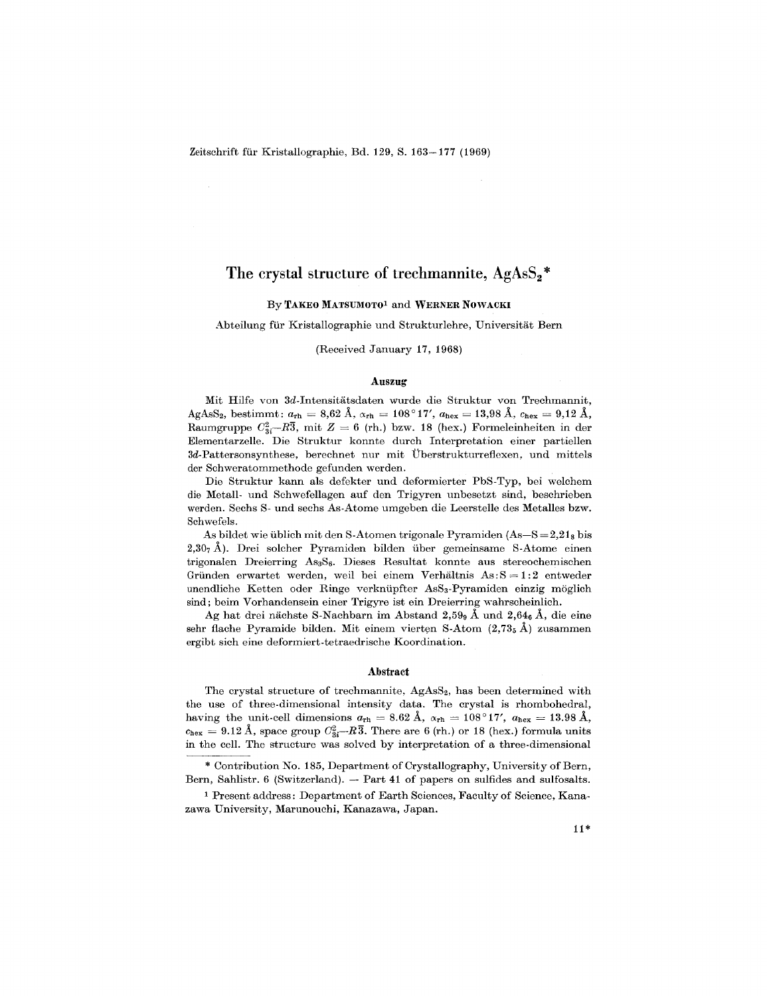Zeitschrift für Kristallographie, Bd. 129, S. 163-177 (1969)

# The crystal structure of trechmannite,  $AgAsS_2$ <sup>\*</sup>

## By TAKEO MATSUMOTOl and WERNER NOWACKI

#### Abteilung für Kristallographie und Strukturlehre, Universität Bern

#### (Received January 17, 1968)

#### Auszug

Mit Hilfe von 3d-Intensitatsdaten wurde die Struktur von Trechmannit,  $\mathrm{AgAsS}_2\mathrm{,~bestimmt:}~a_\mathrm{rh}=8.62\mathrm{~A}, \, \alpha_\mathrm{rh}=108\degree17', \, a_\mathrm{hex}=13.98\mathrm{~A}, \, c_\mathrm{hex}=9.12\mathrm{~A},$  $\text{Raumgruppe } C_{3i}^2 - R\overline{3}, \text{ mit } Z = 6 \text{ (rh.) bzw. 18 (hex.) Formeleinheiten in de.}$ Elementarzelle. Die Struktur konnte durch Interpretationeiner partiellen 3d-Pattersonsynthese, berechnet nur mit UberstrukturreHexen, und mittels der Schweratommethode gefunden werden.

Die Struktur kann als defekter und deformierter PbS-Typ, bei welchem die Metall- und Schwefellagen auf den Trigyren unbesetzt sind, beschrieben werden. Sechs S- und sechs As-Atome umgeben die Leerstelle des Metalles bzw. Schwefels.

As bildet wie üblich mit den S-Atomen trigonale Pyramiden  $(As-S=2,21<sub>8</sub>)$  bis  $2.30<sub>7</sub>$ Å). Drei solcher Pyramiden bilden über gemeinsame S-Atome einen trigonalen Dreierring AsaS6. Dieses Resultat konnte aus stereochemischen Gründen erwartet werden, weil bei einem Verhältnis  $\text{As:} S = 1:2$  entweder unendliche Ketten oder Ringe verknupfter AsSa-Pyramiden einzig moglich sind; beim Vorhandensein einer Trigyre ist ein Dreierring wahrseheinlich.

Ag hat drei nächste S-Nachbarn im Abstand 2,59<sub>9</sub> Å und 2,64<sub>6</sub> Å, die eine sehr flache Pyramide bilden. Mit einem vierten S-Atom  $(2.735 \text{ Å})$  zusammen ergibt sich eine deformiert-tetraedrische Koordination.

#### Abstract

The crystal structure of trechmannite, AgAsS<sub>2</sub>, has been determined with the use of three-dimensional intensity data. The crystal is rhombohedral, having the unit-cell dimensions  $a_{\rm rh} = 8.62 \text{ Å}, \alpha_{\rm rh} = 108^{\circ}17', \ a_{\rm hex} = 13.98 \text{ Å},$  $c_{\text{hex}} = 9.12 \text{ A}$ , space group  $C_{3i}^2$ — $R3$ . There are 6 (rh.) or 18 (hex.) formula unit in the cell. The structure was solved by interpretation of a three-dimensional

\* Contribution No. 185, Department of Crystallography, University of Bern, Bern, Sahlistr. 6 (Switzerland). — Part 41 of papers on sulfides and sulfosal

1 Present address: Department of Earth Sciences, Faculty of Science, Kanazawa University, Marunouchi, Kanazawa, Japan.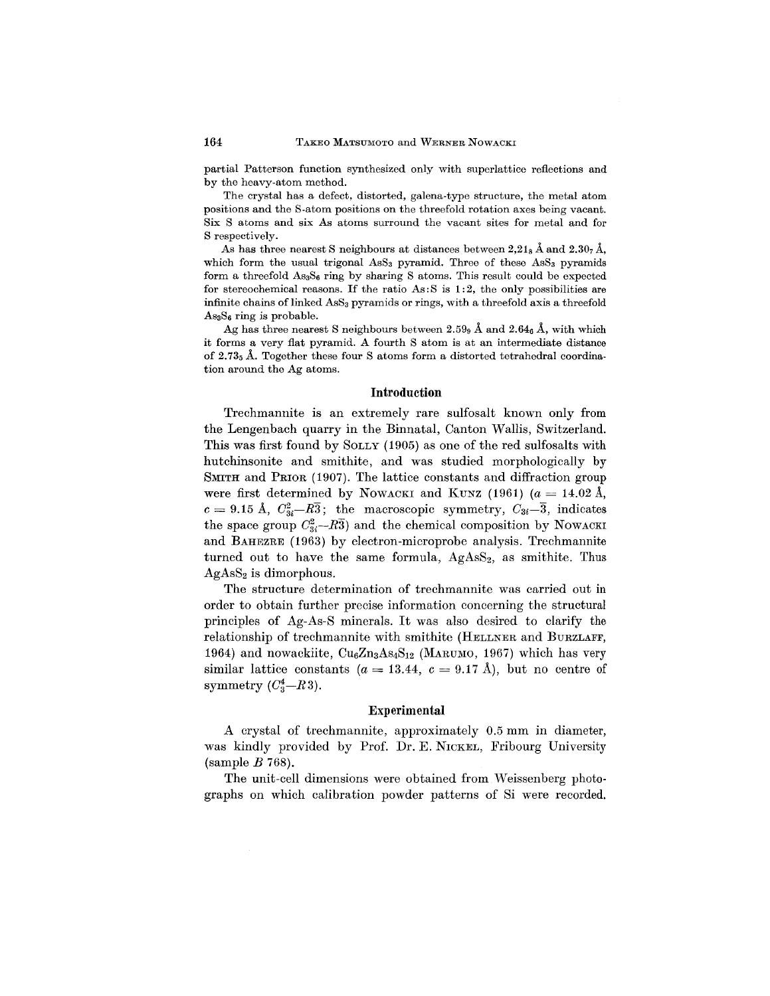partial Patterson function synthesized only with superlattice reflections and by the heavy-atom method.

The crystal has a defect, distorted, galena-type structure, the metal atom positions and the S-atom positions on the threefold rotation axes being vacant. Six S atoms and six As atoms surround the vacant sites for metal and for S respectively.

As has three nearest S neighbours at distances between  $2.21_8$  Å and  $2.30_7$  Å, which form the usual trigonal  $\text{Ass}_3$  pyramid. Three of these  $\text{Ass}_3$  pyramids form a threefold AS3S6 ring by sharing S atoms. This result could be expected for stereochemical reasons. If the ratio  $As: S$  is 1:2, the only possibilities are infinite chains of linked AsS<sub>3</sub> pyramids or rings, with a threefold axis a threefold  $\text{As}_3\text{S}_6$  ring is probable.

Ag has three nearest S neighbours between 2.59 $_{9}$  Å and 2.64 $_{6}$  Å, with which it forms a very flat pyramid. A fourth S atom is at an intermediate distance of  $2.73<sub>5</sub>$  Å. Together these four S atoms form a distorted tetrahedral coordination around the Ag atoms.

### **Introduction**

Trechmannite is an extremely rare sulfosalt known only from the Lengenbach quarry in the Binnatal, Canton Wallis, Switzerland. This was first found by SOLLY (1905) as one of the red sulfosalts with hutchinsonite and smithite, and was studied morphologically by SMITH and PRIOR (1907). The lattice constants and diffraction group were first determined by NOWACKI and KUNZ (1961)  $(a = 14.02 \text{ Å},$  $c = 9.15$  Å,  $C_{3i}^2 - R\overline{3}$ ; the macroscopic symmetry,  $C_{3i} - \overline{3}$ , indicates the space group  $C_{3i}^2-R\bar{3}$ ) and the chemical composition by NOWACKI and BAHEZRE (1963) by electron-microprobe analysis. Trechmannite turned out to have the same formula,  $AgAss_2$ , as smithite. Thus  $AgAsS<sub>2</sub>$  is dimorphous.

The structure determination of trechmannite was carried out in order to obtain further precise information concerning the structural principles of Ag-As-S minerals. It was also desired to clarify the relationship of trechmannite with smithite (HELLNER and BURZLAFF, 1964) and nowackiite,  $Cu_6Zn_3As_4S_{12}$  (MARUMO, 1967) which has very similar lattice constants  $(a = 13.44, c = 9.17 \text{ Å})$ , but no centre of symmetry  $(C_3^4-R_3)$ .

#### **Experimental**

A crystal of trechmannite, approximately 0.5 mm in diameter, was kindly provided by Prof. Dr. E. NICKEL, Fribourg University (sample *B 768).*

The unit-cell dimensions were obtained from Weissenberg photographs on which calibration powder patterns of Si were recorded.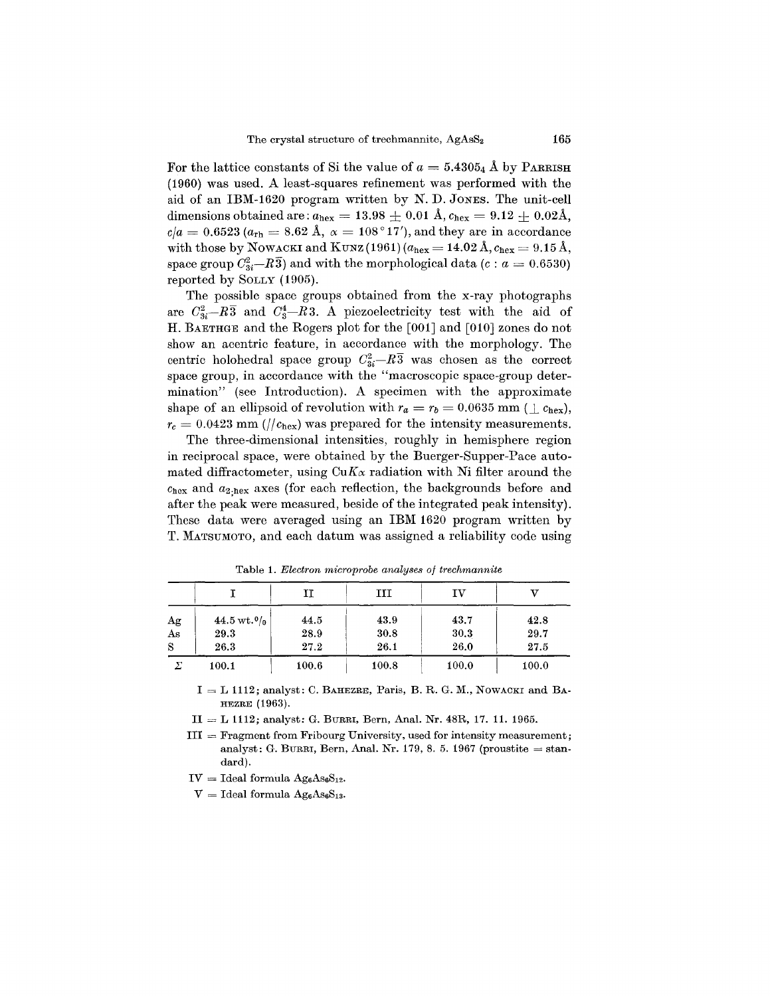For the lattice constants of Si the value of  $a = 5.4305_4$  Å by PARRISH (1960) was used. A least-squares refinement was performed with the aid of an IBM-1620 program written by N. D. JONES. The unit-cell dimensions obtained are:  $a_{\text{hex}} = 13.98 \pm 0.01 \text{ Å}$ ,  $c_{\text{hex}} = 9.12 \pm 0.02 \text{Å}$ ,  $c/a = 0.6523 \left( a_{\rm rh} = 8.62 \; \rm{\AA}, \; \alpha = 108\,^{\circ} \, 17' \right)$ , and they are in accordance with those by NOWACKI and KUNZ(1961) ( $a_{\text{hex}} = 14.02 \text{ Å}, c_{\text{hex}} = 9.15 \text{ Å},$ space group  $C_{3i}^2-R\bar{3}$  and with the morphological data  $(c : a = 0.6530)$ reported by SOLLY (1905).

The possible space groups obtained from the x-ray photographs are  $C_{3}^2-R\overline{3}$  and  $C_{3}^4-R\overline{3}$ . A piezoelectricity test with the aid of H. BAETHGE and the Rogers plot for the [001] and [010] zones do not show an acentric feature, in accordance with the morphology. The centric holohedral space group  $C_{3i}^2-R\overline{3}$  was chosen as the correct space group, in accordance with the "macroscopic space-group determination" (see Introduction). A specimen with the approximate shape of an ellipsoid of revolution with  $r_a = r_b = 0.0635$  mm ( $\perp c_{\text{hex}}$ ),  $r_c = 0.0423$  mm (// $c_{\text{hex}}$ ) was prepared for the intensity measurements.

The three-dimensional intensities, roughly in hemisphere region in reciprocal space, were obtained by the Buerger-Supper-Pace automated diffractometer, using  $CuK_{\alpha}$  radiation with Ni filter around the  $c_{\text{hex}}$  and  $a_{2,\text{hex}}$  axes (for each reflection, the backgrounds before and after the peak were measured, beside of the integrated peak intensity). These data were averaged using an IBM 1620 program written by T. MATSUMOTO, and each datum was assigned a reliability code using

|    |                          | II    | ш     | τv    |       |
|----|--------------------------|-------|-------|-------|-------|
| Ag | $44.5 \,\mathrm{wt.}0_0$ | 44.5  | 43.9  | 43.7  | 42.8  |
| As | 29.3                     | 28.9  | 30.8  | 30.3  | 29.7  |
| S  | 26.3                     | 27.2  | 26.1  | 26.0  | 27.5  |
|    | 100.1                    | 100.6 | 100.8 | 100.0 | 100.0 |

Table 1. *Electron microprobe analyses of trechmannite*

 $I = L 1112$ ; analyst: C. BAHEZRE, Paris, B. R. G. M., NOWACKI and BA-HEZRE (1963).

 $II = L 1112$ ; analyst: G. BURRI, Bern, Anal. Nr. 48R, 17. 11. 1965.

 $III =$  Fragment from Fribourg University, used for intensity measurement analyst: G. Burri, Bern, Anal. Nr. 179, 8. 5. 1967 (proustite  $=$  star dard).

 $IV =$  Ideal formula  $Ag_6As_6S_{12}$ 

 $V =$  Ideal formula  $Ag_6As_6S_{13}$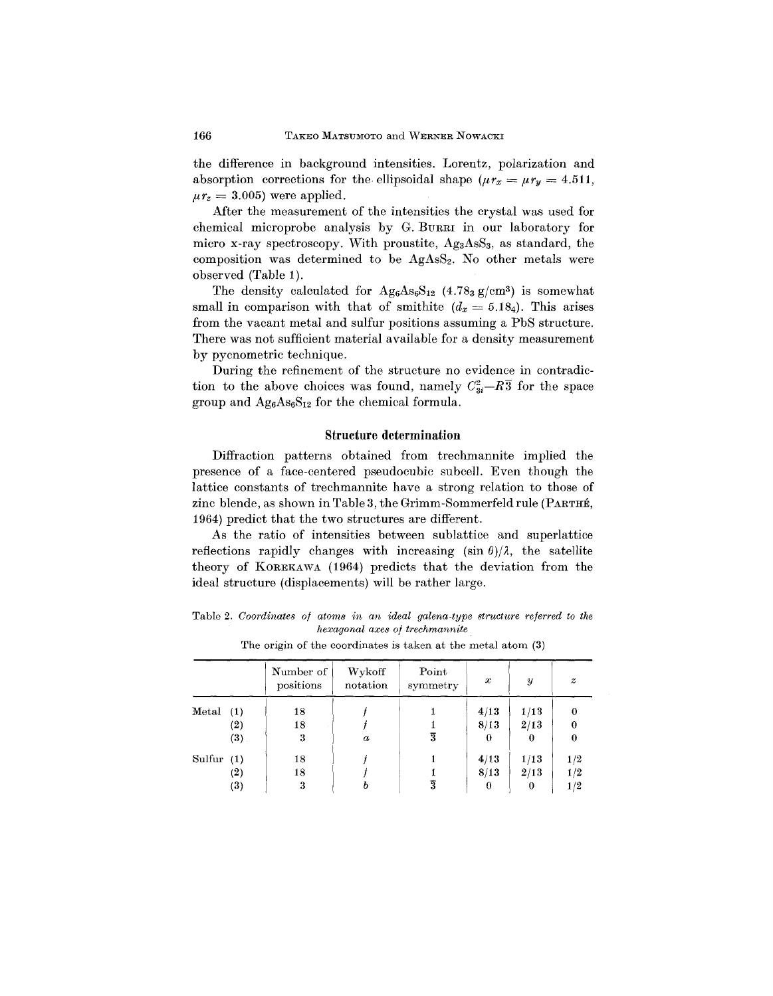the difference in background intensities. Lorentz, polarization and absorption corrections for the ellipsoidal shape  $(\mu r_x = \mu r_y = 4.511,$  $\mu r_z = 3.005$ ) were applied

After the measurement of the intensities the crystal was used for chemical microprobe analysis by G. BURRI in our laboratory for micro x-ray spectroscopy. With proustite,  $Ag<sub>3</sub>AsS<sub>3</sub>$ , as standard, the composition was determined to be  $AgAsS<sub>2</sub>$ . No other metals were observed (Table 1).

The density calculated for  $Ag_6As_6S_{12}$  (4.78<sub>3</sub>  $g/cm^3$ ) is somewhat small in comparison with that of smithite  $(d_x = 5.18<sub>4</sub>)$ . This arises from the vacant metal and sulfur positions assuming a PbS structure. There was not sufficient material available for a density measurement by pycnometric technique.

During the refinement of the structure no evidence in contradiction to the above choices was found, namely  $C_{3i}^2 - R\overline{3}$  for the space group and  $Ag_6As_6S_{12}$  for the chemical formula.

#### **Structure determination**

Diffraction patterns obtained from trechmannite implied the presence of a face-centered pseudocubic subcell. Even though the lattice constants of trechmannite have a strong relation to those of zinc blende, as shown in Table 3, the Grimm-Sommerfeld rule (PARTHE, 1964) predict that the two structures are different.

As the ratio of intensities between sublattice and superlattice reflections rapidly changes with increasing  $(\sin \theta)/\lambda$ , the satellite theory of KOREKAWA (1964) predicts that the deviation from the ideal structure (displacements) will be rather large.

Table 2. *Coordinates 0/ atoms in an ideal galena-type structure referred to the hexagonal axes 0/ trechmannite*

|              |         | Number of<br>positions | Wykoff<br>notation | Point<br>symmetry | $\boldsymbol{x}$ | $\boldsymbol{y}$ | $\boldsymbol{z}$ |
|--------------|---------|------------------------|--------------------|-------------------|------------------|------------------|------------------|
| Meta(1)      |         | 18                     |                    |                   | 4/13             | 1/13             |                  |
|              | (2)     | 18                     |                    |                   | 8/13             | 2/13             |                  |
|              | $(3)$ . | 3                      | $\boldsymbol{a}$   | 3                 | 0                | 0                | $\boldsymbol{0}$ |
| Sulfur $(1)$ |         | 18                     |                    |                   | 4/13             | 1/13             | 1/2              |
|              | (2)     | 18                     |                    |                   | 8/13             | 2/13             | 1/2              |
|              | (3)     | 3                      |                    | 3                 | 0                | 0                | 1/2              |

The origin of the coordinates is taken at the metal atom (3)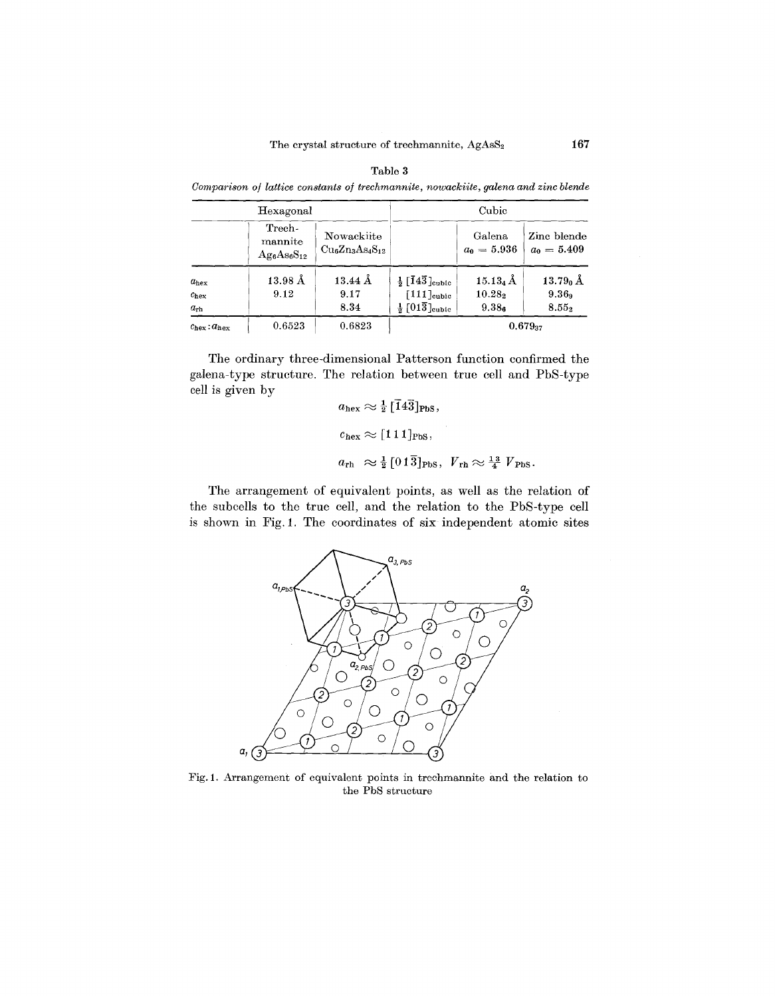|                                                   |                                           | Comparison of lattice constants of trechmannite, nowackite, galena and zinc blende |                                                                                             |                                                           |                                    |  |  |  |
|---------------------------------------------------|-------------------------------------------|------------------------------------------------------------------------------------|---------------------------------------------------------------------------------------------|-----------------------------------------------------------|------------------------------------|--|--|--|
|                                                   | Hexagonal                                 |                                                                                    | Cubic                                                                                       |                                                           |                                    |  |  |  |
|                                                   | Trech-<br>mannite<br>$\rm Ag_6As_6S_{12}$ | Nowackiite<br>$Cu6Zn3As4S12$                                                       |                                                                                             | Galena<br>$a_0 = 5.936$                                   | Zinc blende<br>$a_0 = 5.409$       |  |  |  |
| $a_{\text{hex}}$<br>$c_{\rm hex}$<br>$a_{\rm rh}$ | $13.98\,\text{\AA}$<br>9.12               | $13.44 \text{ Å}$<br>9.17<br>8.34                                                  | $\frac{1}{2}$ [143] cubic<br>$[111]_{\text{cubic}}$<br>$\frac{1}{2}$ [013] <sub>cubic</sub> | $15.13_4\,\text{\AA}$<br>$10.28_{2}$<br>9.38 <sub>6</sub> | $13.790$ Å<br>$9.36_9$<br>$8.55_2$ |  |  |  |
| $c_{\text{hex}}$ : $a_{\text{hex}}$               | 0.6523                                    | 0.6823                                                                             |                                                                                             |                                                           | $0.679_{37}$                       |  |  |  |

The ordinary three-dimensional Patterson function confirmed the galena-type structure. The relation between true cell and PbS-type cell is given by  $\overline{\phantom{a}}$ 

$$
a_{\text{hex}} \approx \frac{1}{2} [143]_{\text{PbS}},
$$
  
\n $c_{\text{hex}} \approx [111]_{\text{PbS}},$   
\n $a_{\text{rh}} \approx \frac{1}{2} [01\overline{3}]_{\text{PbS}}, V_{\text{rh}} \approx \frac{13}{4} V_{\text{PbS}}.$ 

The arrangement of equivalent points, as well as the relation of the sub cells to the true cell, and the relation to the PbS-type cell is shown in Fig. 1. The coordinates of six independent atomic sites



Fig. 1. Arrangement of equivalent points in trechmannite and the relation to the PbS structure

Table 3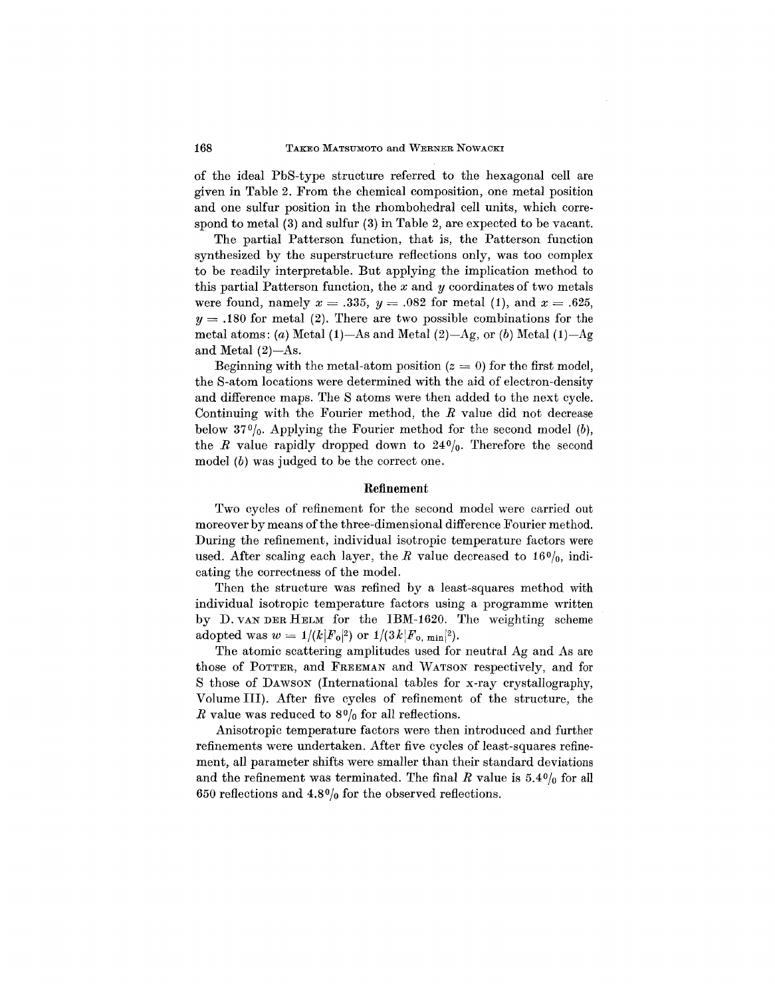of the ideal PbS-type structure referred to the hexagonal cell are given in Table 2. From the chemical composition, one metal position and one sulfur position in the rhombohedral cell units, which correspond to metal (3) and sulfur (3) in Table 2, are expected to be vacant.

The partial Patterson function, that is, the Patterson function synthesized by the superstructure reflections only, was too complex to be readily interpretable. But applying the implication method to this partial Patterson function, the *x* and *y* coordinates of two metals were found, namely  $x = .335$ ,  $y = .082$  for metal (1), and  $x = .625$ ,  $y = .180$  for metal (2). There are two possible combinations for the metal atoms: *(a)* Metal  $(1)$ -As and Metal  $(2)$ -Ag, or *(b)* Metal  $(1)$ -Ag and Metal  $(2)$ -As.

Beginning with the metal-atom position  $(z = 0)$  for the first model, the S-atom locations were determined with the aid of electron-density and difference maps. The S atoms were then added to the next cycle. Continuing with the Fourier method, the *R* value did not decrease below 370/0. Applying the Fourier method for the second model *(b),* the *R* value rapidly dropped down to  $24\frac{0}{0}$ . Therefore the second model *(b)* was judged to be the correct one.

## **Refinement**

Two cycles of refinement for the second model were carried out moreover by means of the three-dimensional difference Fourier method. During the refinement, individual isotropic temperature factors were used. After scaling each layer, the  $R$  value decreased to 16%, indicating the correctness of the model.

Then the structure was refined by a least-squares method with individual isotropic temperature factors using a programme written by D. VANDER HELM for the IBM-1620. The weighting scheme adopted was  $w = 1/(k|F_0|^2)$  or  $1/(3k|F_0, \text{min}|^2)$ .

The atomic scattering amplitudes used for neutral Ag and As are those of POTTER, and FREEMAN and WATSON respectively, and for S those of DAWSON (International tables for x-ray crystallography, Volume III). After five cycles of refinement of the structure, the *R* value was reduced to  $8\frac{0}{0}$  for all reflections.

Anisotropic temperature factors were then introduced and further refinements were undertaken. After five cycles of least-squares refinement, all parameter shifts were smaller than their standard deviations and the refinement was terminated. The final  $R$  value is  $5.4\frac{0}{0}$  for all 650 reflections and  $4.8\frac{0}{0}$  for the observed reflections.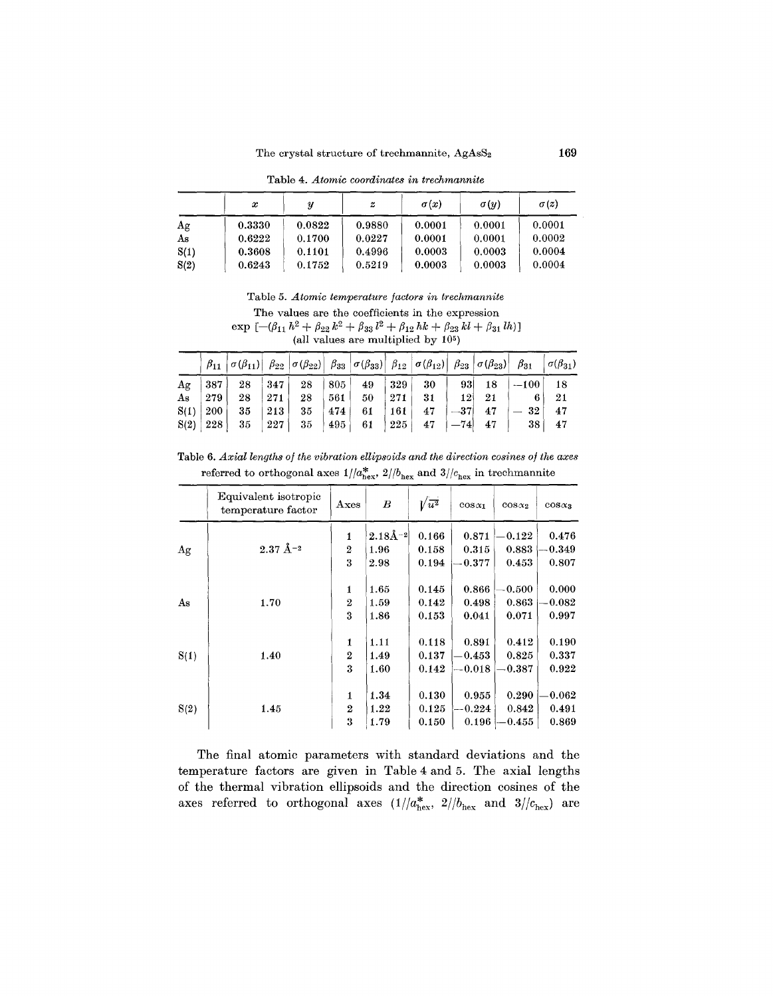Table 4. *Atomic coordinates in trechmannite*

|      | $\boldsymbol{x}$ | U      | z      | $\sigma(x)$ | $\sigma(y)$ | $\sigma(z)$ |
|------|------------------|--------|--------|-------------|-------------|-------------|
| Ag   | 0.3330           | 0.0822 | 0.9880 | 0.0001      | 0.0001      | 0.0001      |
| As   | 0.6222           | 0.1700 | 0.0227 | 0.0001      | 0.0001      | 0.0002      |
| S(1) | 0.3608           | 0.1101 | 0.4996 | 0.0003      | 0.0003      | 0.0004      |
| S(2) | 0.6243           | 0.1752 | 0.5219 | 0.0003      | 0.0003      | 0.0004      |

Table 5. *Atomic temperature factors in trechmannite*

The values are the coefficients in the expression

 $\exp\left[-(\beta_{11} h^2 + \beta_{22} k^2 + \beta_{33} l^2 + \beta_{12} hk + \beta_{23} kl + \beta_{31} lh\right]$ <br>(all values are multiplied by 10<sup>5</sup>)

|    | $\beta_{11}$ $\sigma(\beta_{11})$ $\beta_{22}$ $\sigma(\beta_{22})$ $\beta_{33}$ $\sigma(\beta_{33})$ $\beta_{12}$ $\sigma(\beta_{12})$ $\beta_{23}$ $\sigma(\beta_{23})$ $\beta_{31}$ $\sigma(\beta_{31})$                                                                    |  |  |                         |    |                 |                 |                 |      |
|----|--------------------------------------------------------------------------------------------------------------------------------------------------------------------------------------------------------------------------------------------------------------------------------|--|--|-------------------------|----|-----------------|-----------------|-----------------|------|
| Ag | $ \hspace{.06cm}387 \hspace{.02cm} \hspace{.08cm}28\hspace{.08cm} \hspace{.08cm}347\hspace{.02cm} \hspace{.08cm}28\hspace{.08cm} \hspace{.08cm}805\hspace{.02cm} \hspace{.08cm}49\hspace{.08cm} \hspace{.08cm}329\hspace{.02cm} \hspace{.08cm}30\hspace{.02cm} \hspace{.06cm}$ |  |  |                         |    | 93              | 18 <sub>1</sub> | $ -100 $        | - 18 |
|    | $\mathrm{As} \quad  \;279\; \quad 28\quad \mid 271\; \quad 28\quad \mid 561\mid \quad 50$                                                                                                                                                                                      |  |  | 271                     | 31 | 12 <sup>1</sup> | -21             |                 | 21   |
|    | $\mathrm{S}(1)~ ~200~ ~~35$ $~ ~213~ ~~35$ $~ ~474~ ~~61 ~ $                                                                                                                                                                                                                   |  |  | $^{\prime}$ 161 $\vert$ | 47 | $-37$           | 47              | $-32$           | 47   |
|    | $\text{S}(2) \mid 228 \mid \hspace{.1cm} 35 \mid \hspace{.1cm} 227 \mid \hspace{.1cm} 35 \mid \hspace{.1cm} 495 \mid \hspace{.1cm} 61 \mid \hspace{.1cm} 225 \mid \hspace{.1cm} 47 \mid -74 \mid \hspace{.1cm} 47$                                                             |  |  |                         |    |                 |                 | 38 <sup>1</sup> | 47   |

Table 6. *Axial lengths of the vibration ellipsoids and the direction cosines of the axes* referred to orthogonal axes  $1/|a_{\text{hex}}^*|$ ,  $2/|b_{\text{hex}}|$  and  $3/|c_{\text{hex}}|$  in trechmannite

|      | Equivalent isotropic<br>temperature factor | $_{\rm Axes}$    | $\boldsymbol{B}$ | $\sqrt{\overline{u^2}}$ | $cos x_1$  | $cos\alpha_2$     | $cos\alpha_3$ |
|------|--------------------------------------------|------------------|------------------|-------------------------|------------|-------------------|---------------|
|      |                                            | 1                | $2.18$ Å $^{-2}$ | 0.166                   | 0.871      | 0.122             | 0.476         |
| Ag   | $2.37~\mbox{\AA}{}^{-2}$                   | $\mathbf{2}$     | 1.96             | 0.158                   | 0.315      | 0.883             | 0.349         |
|      |                                            | 3                | 2.98             | 0.194                   | 0.377      | 0.453             | 0.807         |
|      |                                            | $\mathbf{1}$     | 1.65             | 0.145                   | 0.866      | 0.500             | 0.000         |
| As   | 1.70                                       | $\boldsymbol{2}$ | 1.59             | 0.142                   | 0.498      | 0.863             | 0.082         |
|      |                                            | 3                | 1.86             | 0.153                   | 0.041      | 0.071             | 0.997         |
|      |                                            | $\mathbf{1}$     | 1.11             | 0.118                   | 0.891      | 0.412             | 0.190         |
| S(1) | 1.40                                       | $\overline{2}$   | 1.49             | 0.137                   | 0.453      | 0.825             | 0.337         |
|      |                                            | 3                | 1.60             | 0.142                   | $\!-0.018$ | $\textbf{-0.387}$ | 0.922         |
|      |                                            | $\mathbf{1}$     | 1.34             | 0.130                   | 0.955      | 0.290             | 0.062         |
| S(2) | 1.45                                       | $\overline{2}$   | 1.22             | 0.125                   | 0.224      | 0.842             | 0.491         |
|      |                                            | 3                | 1.79             | 0.150                   | 0.196      | 0.455             | 0.869         |

The final atomic parameters with standard deviations and the temperature factors are given in Table 4 and 5. The axial lengths of the thermal vibration ellipsoids and the direction cosines of the axes referred to orthogonal axes  $(1/|a_{\text{hex}}^*|, 2/|b_{\text{hex}}|$  and  $3/|c_{\text{hex}}|$  are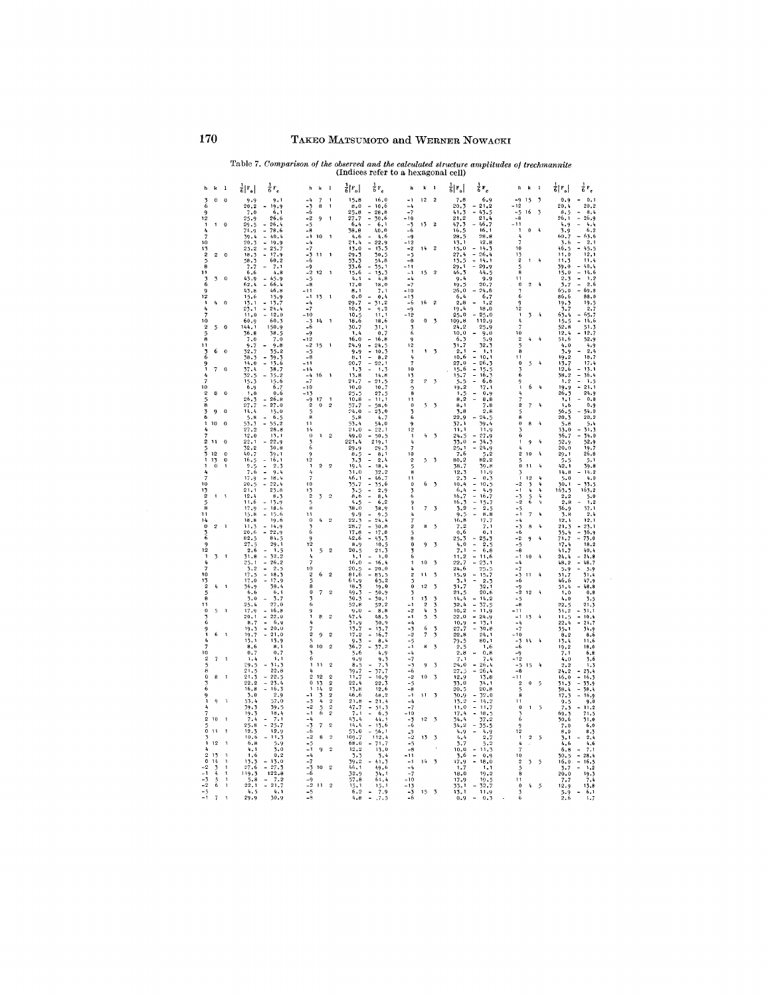# 170 TAKEO MATSUMOTO and WERNER NOWACKI

|                                                           |                             | Table 7. Comparison of the observed and the calculated structure amplitudes of trechmannite |                                                                           |                                                    |                               |                                                    |                            | (Indices refer to a hexagonal cell)                              |                                                 |                          |                           |                            |                                                                          |                               |                  |                               |                                            |                                                   |  |
|-----------------------------------------------------------|-----------------------------|---------------------------------------------------------------------------------------------|---------------------------------------------------------------------------|----------------------------------------------------|-------------------------------|----------------------------------------------------|----------------------------|------------------------------------------------------------------|-------------------------------------------------|--------------------------|---------------------------|----------------------------|--------------------------------------------------------------------------|-------------------------------|------------------|-------------------------------|--------------------------------------------|---------------------------------------------------|--|
| h<br>k                                                    | $\overline{\mathbf{1}}$     | $\frac{1}{6} F_o $                                                                          | $\frac{1}{6}F_c$                                                          | h                                                  | $k = 1$                       |                                                    | 訓키                         | $_{\rm 6}$ $_{\rm r}$                                            | 'n                                              | $k = 1$                  |                           | 히r.                        | $\frac{1}{6}F_c$                                                         |                               | h k              | $\mathbf{1}$                  | $\frac{1}{6}$ $\left  \frac{1}{6} \right $ | $\frac{1}{6}r_c$                                  |  |
| 3<br>$\mathbf{0}$<br>6                                    | $\mathbf 0$                 | 9.9<br>20.2                                                                                 | 9.1<br>19.9                                                               | $-3$                                               | $\overline{\mathcal{L}}$<br>8 | $\mathbf{1}$<br>1                                  | 15.8<br>8.0                | 16.0<br>10.6<br>÷                                                | - 1<br>$-4$                                     | $12 \,$                  | $\mathbf 2$               | 7.8<br>20.3                | 6.9                                                                      | $-9$<br>-12                   | 15               | 3                             | 0.9<br>20.4                                | 0.1<br>20.2                                       |  |
| 12<br>1                                                   | $^{\circ}$                  | $7.0$<br>25.9<br>29.5                                                                       | 6,1<br>26.6<br>26.4                                                       | 5ء<br>$-2$<br>$-5$                                 | 9                             | $\overline{1}$                                     | $25.8$<br>$27.7$<br>6.4    | $\overline{\phantom{a}}$<br>28,8<br>L.<br>30.6<br>6.1            | $-7$<br>- 10<br>$-3$                            | 13                       | $\,2\,$                   | 41.3<br>21.2<br>47.3       | $-21.2$<br>$-43.5$<br>$21.4$<br>46.7                                     | $-5$<br>$-\ddot{8}$<br>$-11$  | 16               | $\overline{3}$                | 8.5<br>26.1<br>4.9                         | 8.4<br>$-26.9$<br>4.4                             |  |
| 1                                                         |                             | 74.9<br>39.4                                                                                | 78.6<br>L.<br>40.4                                                        | $-8$<br>$-1$                                       | 10                            | $\mathbf{I}$                                       | 38.8<br>4.6                | 40.0<br>4.6                                                      | $-\hat{6}$<br>$-\mathbf{q}$                     |                          |                           | 16.5<br>28,5               | 16.1<br>28.8                                                             | 4                             | 0                | $\mathbf{q}$                  | $\frac{3.9}{60.7}$                         | 6.2<br>$-63.6$<br>$-2.1$                          |  |
| 10<br>13<br>$\overline{2}$<br>$\overline{2}$              | $\overline{0}$              | 20.3<br>25.2                                                                                | $\ddot{\phantom{a}}$<br>$\frac{19.9}{25.7}$<br>$\overline{\phantom{a}}$   | $-4$<br>$-7$                                       | 11                            | $\overline{\phantom{a}}$                           | 21.4<br>13.0               | $22.9$<br>13.5<br>٠                                              | $-12$<br>$-2$<br>-5                             | 14                       | $\overline{2}$            | $13.1$<br>15.0             | 12.8<br>14.3<br>ä,<br>26.4                                               | 7<br>10                       |                  |                               | $3.6$<br>46.5<br>11.0                      | $-45.5$<br>12,1                                   |  |
| 8                                                         |                             | 18.3<br>58.3<br>7.7                                                                         | 17.9<br>60.2<br>7.1                                                       | $-6$<br>$-9$                                       |                               |                                                    | 29.3<br>$53.3$<br>33.6     | 30.5<br>54.8<br>35.1                                             | $-A$<br>$-11$                                   |                          |                           | 27.4<br>13.5<br>29.1       | ÷.<br>14.1<br>$29.9$<br>44.5                                             | 13<br>$\overline{2}$<br>5     | $\mathbf{1}$     | h                             | 11.3<br>39.0                               | 11.4<br>$-40.4$                                   |  |
| 11<br>$\overline{\mathbf{3}}$<br>6                        | $\boldsymbol{0}$            | 6.6<br>43.9<br>62.4                                                                         | 4.8<br>$45.9$<br>66.4<br>÷                                                | $-2$<br>$-5$<br>$-8$                               | $12 - 1$                      |                                                    | 15.6<br>4.1                | $\blacksquare$<br>15.3<br>4.8                                    | $-1$<br>$-4$<br>$-7$                            | 15                       | $\overline{2}$            | 46.3<br>9.4<br>10.5        | 9.9<br>20,7                                                              | 8<br>11<br>$\Omega$           | $\overline{c}$   | $\frac{1}{2}$                 | 15.0<br>2.3                                | $-14.6$<br>$\overline{a}$<br>1,2<br>2.6<br>$\sim$ |  |
| 12                                                        |                             | 43.8<br>15,6                                                                                | 46.8<br>15.9                                                              | -11<br>$-1$                                        | 13                            | $\overline{\phantom{a}}$                           | 17.0<br>8.1<br>0.0         | 18,0<br>7.1<br>0,4                                               | $-10$<br>$-13$                                  |                          |                           | 26.0<br>6.4                | 24.6<br>6.7                                                              | Б                             |                  |                               | 3.7<br>65.0<br>86.6                        | $-69.8$<br>88.0                                   |  |
| 1<br>Ą                                                    | $\ddot{\phantom{0}}$        | 13.1<br>23.1                                                                                | 13.7<br>£.<br>24.4<br>12.0                                                | $-4$<br>$-7$                                       |                               |                                                    | 29.7<br>10.3               | İ,<br>31.2<br>9.2                                                | $-6$<br>$-9$<br>$-12$                           | 16                       | $\boldsymbol{2}$          | 2,8<br>19.4<br>25.0        | 1,2<br>18.0<br>25.0                                                      | 12<br>1                       |                  | 4                             | 19.3<br>3.7                                | 19.5<br>2.7<br>65.7                               |  |
| 10<br>$\overline{2}$<br>5                                 | o                           | 11.0<br>60.9<br>144.1                                                                       | L.<br>60.3<br>150.9                                                       | $-10$<br>$-5$<br>$-6$                              | $14 - 1$                      |                                                    | 10.5<br>18, 6<br>30.7      | 11.1<br>18.6<br>31.1                                             | $\mathbf 0$                                     | $\bf{0}$                 | $\overline{\mathbf{3}}$   | 109.8<br>24.2              | 112.9<br>25.9                                                            |                               | 3                |                               | 63.4<br>15.5<br>52.8                       | $-14.6$<br>51.3                                   |  |
| 5<br>8                                                    |                             | 36.8<br>7.0                                                                                 | 38.5<br>7.0                                                               | $-9$<br>$-12$                                      |                               |                                                    | 1.4<br>16.0                | 0.7<br>16.8<br>$\sim$                                            | 6<br>٩                                          |                          |                           | 10.0<br>6.5                | 9.0<br>$\frac{5.9}{32.3}$                                                | 10<br>2                       | $\mathbf{4}$     | $\frac{1}{2}$                 | 12.4<br>51.6                               | $-12.7$<br>52.9                                   |  |
| 11<br>6<br>6                                              | $\ddot{\text{o}}$           | 9.7<br>32.7<br>38.3                                                                         | 9,8<br>35.2                                                               | $-2$<br>$-5$<br>$-8$                               | 15                            | $\overline{\phantom{a}}$                           | 24.9<br>9.9<br>8.1         | 24.5<br>$\frac{1}{2}$<br>10.5<br>8, 2                            | $\overline{12}$<br>$\mathbf{1}$<br>$\mathbf{r}$ |                          | $1 - 3$                   | 31.7<br>2.1<br>10.6        | 1,1<br>$\ddot{\phantom{0}}$<br>10.1                                      | 8<br>11                       |                  |                               | 4.0<br>3.9<br>19.2                         | 4.9<br>2,4<br>18.7                                |  |
| 9<br>7                                                    | $\mathbf 0$                 | 14.0<br>37.4                                                                                | $\frac{59.3}{13.6}$<br>$\blacksquare$<br>38.7                             | $-11$<br>- 14                                      |                               |                                                    | 20.7<br>1.3                | 22.1<br>1.3<br>۰                                                 | 7<br>10                                         |                          |                           | 27.0<br>15.6               | $\ddot{\phantom{0}}$<br>26.3<br>$\overline{a}$<br>15.5<br>$\overline{a}$ | $\mathbf{o}$                  | 5                | 4                             | 13.7<br>12.6                               | 17.4<br>13.1                                      |  |
| 10                                                        |                             | 32.5<br>15.3<br>6.9                                                                         | 35.2<br>15.6<br>6.7                                                       | $-4$<br>$-7$<br>$-10$                              | $16 - 1$                      |                                                    | 13.8<br>21.7<br>10.0       | 14.8<br>21.5<br>10.7                                             | 13<br>$\overline{2}$<br>٠Ę                      | $\mathcal{D}$            | $\overline{\mathfrak{z}}$ | 15.7<br>$\frac{5.5}{19.2}$ | 16.3<br>÷,<br>6.6<br>17.1                                                | $\ddot{6}$<br>9<br>1          | 6                | $\frac{1}{4}$                 | 38.2<br>1.2                                | $-36.4$<br>$\overline{a}$<br>1.5<br>$-21.1$       |  |
| $\overline{2}$<br>8                                       | $\ddot{\textbf{c}}$         | 1.8<br>26.3                                                                                 | 0.6<br>26.8                                                               | $-13$<br>-9                                        | 17                            |                                                    | 25.5<br>10.8               | 27.5<br>11.1<br>$\frac{1}{2}$                                    | é<br>11                                         |                          |                           | 1.5<br>8, 2                | 0.9<br>L.<br>8, 8                                                        |                               |                  |                               | $\frac{19.9}{26.3}$<br>1,1                 | 24.9<br>ä,<br>0.8                                 |  |
| 8<br>3<br>9<br>6                                          | $\mathbf 0$                 | 27.7<br>14.4<br>5,8                                                                         | z.<br>$^{27.0}_{15.0}$<br>6.5<br>÷                                        | $\overline{2}$<br>5<br>8                           | $\bf{0}$                      | $\overline{2}$                                     | 57.7<br>24,0<br>5.8        | 58.6<br>23.0<br>4.7                                              | $\mathbf 0$<br>3<br>6                           | 3                        | $\overline{\phantom{a}}$  | 8,1<br>3.8<br>22.9         | $^{7.8}_{2.8}$<br>24.5                                                   | $\overline{2}$<br>5<br>8      | $\overline{7}$   | $\mathbf{r}$                  | 1,6<br>$\frac{56.5}{20.3}$                 | 0.9<br>54.0<br>20.2                               |  |
| $10\,$<br>1<br>4                                          | $\ddot{\text{o}}$           | 53.3<br>27.2                                                                                | 55.2<br>28.8                                                              | 11<br>14                                           |                               |                                                    | 53.4<br>21.0               | 54.0<br>22.1                                                     | 12                                              |                          |                           | 37.1<br>11.1               | 39.4<br>11.9                                                             | $\bf{0}$                      | 8                | Ą                             | 5.8<br>33.0                                | 5.4<br>31.3                                       |  |
| 2<br>11                                                   | $\overline{0}$              | 12.0<br>22.1<br>32.2                                                                        | $\frac{15.1}{22.9}$<br>30.8                                               | $\bf{0}$<br>$\ddot{6}$                             | $1 \quad 2$                   |                                                    | 49.0<br>221.4<br>29.9      | 50.5<br>219.1<br>29.3                                            | $\mathbf{1}$<br>4                               | 4                        | $\overline{3}$            | 24.5<br>33.0<br>25.1       | $\frac{27.9}{34.3}$<br>24.9                                              | 6<br>1                        | $\boldsymbol{9}$ | $\boldsymbol{t_{\mathrm{f}}}$ | 36.7<br>52.9<br>20.0                       | $-34.0$<br>52.9<br>19.7                           |  |
| 3<br>12<br>$\mathbf{1}$<br>$\frac{13}{0}$                 | $\boldsymbol{0}$<br>$\bf o$ | 40.7<br>16.5                                                                                | 39.1<br>16,1<br>÷                                                         | 9<br>12                                            |                               |                                                    | 8.5<br>3.3                 | $\overline{a}$<br>8:1<br>$\blacksquare$<br>9.4                   | 10<br>$\overline{\mathbf{2}}$                   | 5                        | $\overline{\mathbf{3}}$   | 7.6<br>80.2                | 5.2<br>82.2                                                              | $\overline{2}$                | 10               | $\pmb{I_{k}}$                 | 29.1<br>5.5                                | 26.8<br>5.1                                       |  |
|                                                           |                             | 2.5<br>7.6<br>17.9                                                                          | $\blacksquare$<br>2.3<br>9.4<br>$-18.4$                                   | $\mathbf{1}$                                       | 2 <sub>2</sub>                |                                                    | 19.4<br>31.0<br>46.1       | $\overline{a}$<br>18.4<br>32.2<br>$\overline{a}$<br>46.7         | 5<br>É<br>11                                    |                          |                           | 38.7<br>12.3<br>2.3        | 39.8<br>11.9<br>0.3                                                      | $\bf{0}$<br>3<br>$\mathbf{1}$ | 11<br>12         | 4                             | 14.8<br>5.0                                | 39.8<br>14.2<br>4.0                               |  |
| 10<br>13                                                  |                             | 20.5<br>21, 1                                                                               | 22,4<br>$\overline{\phantom{a}}$<br>23.8                                  | 10<br>13                                           |                               |                                                    | 35.7<br>5.5                | $\overline{\phantom{a}}$<br>$\frac{35.6}{2.9}$<br>$\overline{a}$ | $\theta$<br>3                                   | 6                        | $\overline{\phantom{a}}$  | 10.4<br>6,4                | $\overline{\phantom{a}}$<br>10.5<br>4.9                                  | -2<br>- 1                     | 3                | $\frac{1}{4}$<br>4            | 30.1<br>163.3                              | 33.5<br>163.2                                     |  |
| $\overline{2}$<br>$\mathbf{1}$<br>8                       | 1                           | 12.4<br>11.6<br>17.9                                                                        | 8.3<br>$-13.9$<br>$-18.6$                                                 | 2<br>٩<br>8                                        | 3                             | $^{\circ}$                                         | 8.6<br>4.5<br>38.0         | à,<br>8.4<br>÷<br>6,2<br>38.9                                    | 6<br>9<br>$\mathbf{1}$                          | $\overline{7}$           | $\overline{\mathbf{3}}$   | 16.7<br>16.3<br>3.2        | $\overline{a}$<br>16.7<br>$\overline{\phantom{a}}$<br>$15.7$<br>2.5<br>÷ | -3<br>$-2$<br>-5              | $\frac{5}{6}$    | $\mathbf{r}_\mathrm{t}$<br>t, | 2, 2<br>2,8                                | 5.0<br>1, 2                                       |  |
| 11<br>14                                                  |                             | 15.8<br>18.8                                                                                | $-15.6$<br>19.6                                                           | 11<br>$\mathbf 0$                                  | $\mathbf{I}_\mathbf{t}$       | $\overline{2}$                                     | 9.9<br>22.3                | 9.5<br>24.4                                                      | 4<br>7                                          |                          |                           | 9.5<br>16.8                | 8.8<br>17.7                                                              | - 1<br>$-4$                   | $\overline{7}$   | ł,                            | $36.9$<br>$3.8$<br>$12.1$                  | $\frac{37.1}{2.4}$<br>12,1                        |  |
| $\ddot{\mathbf{0}}$<br>$\overline{2}$<br>36               | $\overline{1}$              | 11.3<br>20.6<br>82.5                                                                        | 14.9<br>$-22.9$<br>84.5                                                   | 6<br>۹                                             |                               |                                                    | 28.7<br>17.8<br>42.6       | t<br>30.8<br>$17.8$<br>43.3                                      | $\overline{2}$<br>5<br>š                        | 8                        | $\overline{3}$            | 7.2<br>0.6<br>25.3         | 7.1<br>0.1                                                               | -3<br>-6<br>$-2$              | 8<br>9           | 4<br>4                        | 21.3<br>$\frac{35.4}{71.7}$                | 23.1<br>$-36.9$<br>73.0                           |  |
| 12                                                        |                             | 27.5<br>2,6                                                                                 | 29.1<br>$\frac{1}{32}$ , $\frac{5}{2}$                                    | 12<br>J.                                           | 5                             | $\overline{\phantom{a}}$                           | 8.9<br>20.5                | 10.5<br>21.3                                                     | $\mathbf 0$                                     | 9                        | 3                         | 4,0<br>7.1                 | $25.3$<br>$2.5$<br>÷<br>6.8                                              | -8                            |                  |                               | 17.4<br>41.7                               | 18.2<br>40.4                                      |  |
| 1<br>3                                                    | - 1                         | 31.8<br>25.1<br>3.2                                                                         | $\sim$<br>$-26.2$<br>2.5                                                  | Ą<br>10                                            |                               |                                                    | 1.1<br>16,0<br>20.5        | 1.0<br>$\Box$<br>16.4<br>20.0                                    | 6<br>1                                          | 10                       | $\overline{\mathbf{3}}$   | 11.2<br>22.7<br>24.6       | $\tilde{\phantom{a}}$<br>11.6<br>$\overline{a}$<br>23.1<br>25.5          | $-1$<br>$-4$<br>-7            | 10               | 4                             | $24.4$<br>$48.2$                           | $-24.8$<br>$-48.7$<br>5.9                         |  |
| 10<br>13                                                  |                             | 17.5<br>17.0                                                                                | $\blacksquare$<br>$\frac{18.3}{17.9}$<br>38.4<br>$\overline{\phantom{a}}$ | $\overline{2}$<br>5                                | 6                             | $\overline{2}$                                     | 81.6<br>$61.9$<br>18.3     | L,<br>83.5<br>65.2                                               | $\overline{2}$                                  | 11                       | $\overline{\mathbf{3}}$   | 15.9<br>3.1                | 15.7<br>Ē<br>$\frac{2.3}{32.1}$                                          | -3<br>-6                      | 11               | 4                             | 5.9<br>31.7<br>46.6                        | 31.4<br>$47.9$<br>48.8                            |  |
| 4<br>Ŕ                                                    | -1                          | 36.9<br>6.6<br>3.0                                                                          | 6, 1                                                                      | ė<br>$\boldsymbol{0}$<br>٦                         | $\sqrt{ }$                    | $\,2\,$                                            | 49.3<br>30.3               | 19.0<br>i,<br>50.9<br>$\overline{a}$<br>30.1                     | ō<br>$\mathbf{1}$                               | 12                       | $\overline{3}$            | 31.7<br>21.5<br>14.4       | 20.6<br>14.2                                                             | -9<br>-2<br>-5                | 12               | 4                             | 51.4<br>1.0<br>4.0                         | 0.8<br>3.5                                        |  |
| 11<br>$\bf{0}$<br>5                                       | j.                          | 25.4<br>17.9                                                                                | $\frac{3.7}{27.0}$<br>16.8                                                | 6<br>9                                             |                               |                                                    | 52.8<br>9.0                | 52.2<br>8.8                                                      | $\overline{\phantom{0}}$<br>$-2$                | $\frac{13}{2}$<br>4      | うろう                       | 32.4<br>10, 2              | 37.5<br>11.9                                                             | $-8$<br>- 11                  |                  |                               | $\frac{22.5}{31.2}$                        | 21.3<br>31.1                                      |  |
| 6<br>9                                                    |                             | 20.1<br>8.7<br>19.3                                                                         | ÷,<br>22.0<br>$\ddot{\phantom{a}}$<br>6.9<br>$-20.0$                      | $\mathbf{1}$<br>4                                  | 8                             | $\overline{2}$                                     | 47.4<br>31.9               | 48.5<br>30.9<br>$\blacksquare$<br>13.7                           | -1<br>$-4$<br>$-3$                              | 5<br>6                   |                           | 22.0<br>10.9<br>27.7       | L.<br>24.9<br>$\overline{\phantom{a}}$<br>13.1<br>$\overline{a}$<br>30.8 | $-1$<br>$-l_0$<br>$-7$        | 13               | $\pmb{l}_i$                   | $\frac{11.5}{22.4}$                        | $-10.4$<br>$-21.7$                                |  |
| 6                                                         | $\overline{\phantom{a}}$    | 19.7<br>13.1                                                                                | $-21.0$<br>13.9                                                           | $\overline{\mathbf{2}}$                            | 9                             | $\overline{c}$                                     | $\frac{13.7}{17.2}$<br>9.3 | 16.7<br>Ė<br>8.4                                                 | -2<br>$-5$                                      | $\overline{\phantom{a}}$ | $\frac{3}{3}$             | 22.8<br>79.5               | 24.1<br>80.1                                                             | -10<br>$-3$                   | $\sqrt{3}$       | $\ddot{\phantom{1}}$          | $\frac{35.1}{8.2}$<br>13.4                 | $\frac{34.9}{8.6}$<br>11.6                        |  |
| 10<br>$\overline{2}$<br>7                                 | $\mathbf{1}$                | 8,6<br>0.7<br>1,4                                                                           | 8,1<br>0.7<br>1, 1                                                        | $\theta$<br>6                                      | 10                            | $\overline{2}$                                     | 36.7<br>5.6<br>9.9         | 37.2<br>4.9<br>9.3                                               | $-1$<br>$-4$<br>$-7$                            | 8                        | 3                         | 2.5<br>2.8<br>7.1          | 1,6<br>0.8<br>7.4                                                        | $-6$<br>$-9$<br>$-12$         |                  |                               | 19.2<br>7.1<br>4.0                         | 18,0<br>6.8<br>3.6                                |  |
| A                                                         |                             | 29.5<br>21.5                                                                                | 31.3<br>22.8                                                              | 1                                                  | 11                            | $\overline{2}$                                     | 8.5<br>39.7                | 7.3<br>$\overline{a}$<br>İ,<br>37.7                              | ٠ż<br>$-6$                                      | 9                        | $\overline{2}$            | 24.0<br>27.5               | 26.4<br>$\overline{a}$<br>ä,<br>26.4                                     | $-5$<br>$-8$                  | 15               | 4                             | 2.2<br>24.2                                | i.3<br>$-23.4$                                    |  |
| 8<br>$\bf{0}$<br>6                                        | $\overline{1}$              | 21.3<br>22, 2<br>16,8                                                                       | $-22.5$<br>$-23.4$<br>16.3                                                | $\overline{2}$<br>$\bf{0}$<br>$\ddot{\phantom{1}}$ | 12<br>13<br>14                | $\overline{2}$<br>$\overline{2}$<br>$\overline{2}$ | 11.7<br>22.4<br>13.8       | $\frac{10.9}{22.3}$<br>12,6                                      | $-2$<br>$-5$<br>-8                              | 10                       | $\overline{3}$            | 12.9<br>33.0<br>20.5       | 13.8<br>34.1<br>20.8                                                     | $-11$<br>$\overline{2}$       | $\pmb{0}$        | $\mathfrak{s}$                | 16.0<br>31.3<br>38.4                       | $-16.3$<br>$-33.9$<br>$-38.4$                     |  |
| 9<br>1<br>9                                               | -1                          | 3.0<br>53.4                                                                                 | 2.9<br>57.0                                                               | - 1<br>-3                                          | 3<br>4                        | $\overline{2}$<br>$\frac{1}{2}$                    | 46.6<br>21.8               | 48.2<br>21.4                                                     | $-1$<br>$-4$                                    | 11                       | $\overline{\mathbf{z}}$   | $\frac{30.9}{13.2}$        | 32.0<br>14.2                                                             | 8<br>11                       |                  |                               | 17.3<br>9.5                                | $\overline{\phantom{a}}$<br>16.9<br>9.0           |  |
| $\overline{2}$<br>10                                      | $\mathbf{I}$                | 39.3<br>19.3<br>7.4                                                                         | 39.5<br>18,4<br>7.1                                                       | $-2$<br>$-1$<br>$-4$                               | 5<br>$\ddot{\mathbf{6}}$      | $\overline{2}$<br>$\overline{\mathbf{c}}$          | 47.7<br>7.1<br>43.4        | $\blacksquare$<br>51.3<br>6.5<br>44.1                            | $-7$<br>- 10<br>$-3$                            | 12                       | $\overline{\mathbf{3}}$   | 11.0<br>17.4<br>34.4       | 11.7<br>÷,<br>18.5<br>37.2                                               | $\bf{0}$<br>6                 | $\mathbf 1$      | $\overline{5}$                | 7.3<br>30.6                                | $\tilde{\phantom{a}}$<br>11,2<br>71.5<br>31.0     |  |
| ö<br>11                                                   |                             | 25.8<br>12.3                                                                                | $-25.7$<br>12.9                                                           | -3<br>-6                                           | $\bar{7}$                     | $\overline{2}$                                     | 14.4<br>53.0               | $\blacksquare$<br>13.6<br>56.1                                   | -6<br>$-9$                                      |                          |                           | 34.2<br>4.9                | L,<br>35.5                                                               | 12                            |                  |                               | 7.0<br>8.0                                 | 6.0<br>8.3                                        |  |
| 1<br>12                                                   | $\ddot{\phantom{a}}$        | 10.6<br>6,8<br>4.1                                                                          | 11.3<br>$5.9$<br>$3.0$                                                    | $-2$<br>-5<br>$-1$                                 | 8<br>9                        | $\overline{2}$<br>$\overline{2}$                   | 109.7<br>68.0<br>12.2      | 112.4<br>71.7<br>$\mathbf{r}$<br>13.0                            | -2<br>$-5$<br>$-8$                              | 13                       | $\overline{3}$            | 4.4<br>3.7<br>10.0         | 2.7<br>5.2<br>$\frac{1}{2}$<br>11.3                                      | $\mathbf{1}$<br>4             | $\,2\,$          | $\overline{5}$                | 3.1<br>4,6<br>6.8                          | 2.4<br>4,6<br>7.1                                 |  |
| $\overline{2}$<br>13<br>$\mathbf 0$<br>14                 |                             | 1.6<br>13.3                                                                                 | 0.2<br>13.0                                                               | -4<br>-7                                           |                               |                                                    | 3.3<br>39.2                | 3.4<br>41.3                                                      | - 11<br>$-1$                                    | $14\,$                   | $\overline{3}$            | 3.6<br>17.9                | 0.9<br>18, 0                                                             | 10<br>$\overline{2}$          | 3                | 5                             | 30.5<br>16,0                               | 28.4<br>$\ddot{\phantom{1}}$<br>L.<br>16.5        |  |
| $-2$<br>$\overline{\mathbf{z}}$<br>$-1$<br>4<br>$-3$<br>5 | 1<br>1                      | 27.6<br>119.3<br>5,8                                                                        | $-27.5$<br>122.8<br>7.2                                                   | $-3$<br>$-6$<br>$-9$                               | 10                            | $\overline{2}$                                     | 46.1<br>32.9<br>57.8       | 49.6<br>34.1<br>61.4                                             | $-4$<br>$-7$<br>$-10$                           |                          |                           | 1,7<br>18.0<br>17.9        | 1, 1<br>19.2                                                             | 8                             |                  |                               | 3.7<br>$20.0$<br>7.7                       | 1,2<br>$\frac{19.3}{7.4}$                         |  |
| $-2$<br>6<br>$-5$                                         | $\mathbf{I}$                | 22.1<br>4.5                                                                                 | $-21.7$<br>4.1                                                            | $^{-2}$<br>$-5$                                    | $\overline{11}$               | $\overline{\mathbf{2}}$                            | 15.1<br>6.2                | 15.1<br>$\ddot{\phantom{a}}$<br>7.9                              | -13<br>$-5$                                     | 15                       | $\overline{\mathbf{3}}$   | 33.1<br>13.1               | $\frac{19.5}{32.7}$<br>11, 9                                             | 11<br>$\mathbf 0$             | $I_{\rm t}$      | $\tilde{z}$                   | 12.9                                       | 13.8<br>6,1                                       |  |
| $-1$ 7                                                    | Ą,                          | 29.9                                                                                        | 30.9                                                                      | -8                                                 |                               |                                                    | 4.8                        | .7.5                                                             | -6                                              |                          |                           | 0.9                        | 0.3                                                                      | 6                             |                  |                               | $\frac{5.9}{2.6}$                          | 1,7                                               |  |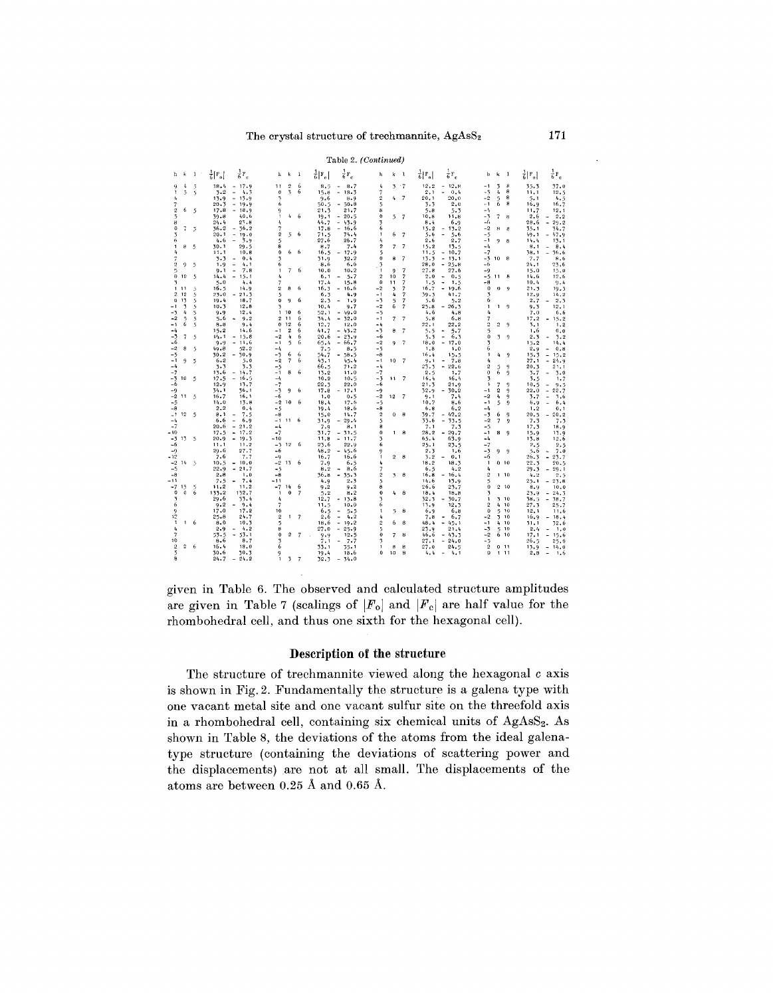|                         | Table 2. (Continued) |                |                           |                                          |                   |                          |                          |                         |                                          |                                |                |                          |                      |                                                                 |                    |                               |                              |                                                    |
|-------------------------|----------------------|----------------|---------------------------|------------------------------------------|-------------------|--------------------------|--------------------------|-------------------------|------------------------------------------|--------------------------------|----------------|--------------------------|----------------------|-----------------------------------------------------------------|--------------------|-------------------------------|------------------------------|----------------------------------------------------|
| ħ                       | k                    | 1              | $\frac{1}{6}$ [ $F_{o}$ ] | $\frac{1}{6}F_c$                         | h                 | k                        | 1                        | $\frac{1}{6}$   $F_{0}$ | $\frac{1}{6}$ F <sub>c</sub>             | h                              | k              | $\mathbf{1}$             | $\frac{1}{6} F_{o} $ | $\frac{1}{6}F_c$                                                | ħ                  | k<br>-1                       | $\frac{1}{6}$   $F_{\alpha}$ | $\frac{1}{6}$ F <sub>c</sub>                       |
| 9                       | 4                    | 5              | 18.4                      | $-17.9$                                  | 11                | 5                        | 6                        | 8.5                     | 8.7<br>$\qquad \qquad \blacksquare$      | 4                              |                | $3 - 7$                  | 12.2                 | $-12.8$                                                         | - 1                | 8<br>3                        | 35.3                         | 37.0                                               |
| $\mathbf{1}$            | $\frac{1}{2}$        | 5              | 7.2                       | ÷.<br>4.3                                | $\Omega$          | $\overline{\phantom{a}}$ | 6                        | 15.8                    | $-18.3$                                  | 7                              |                |                          | 2.1                  | $\omega$<br>0.4                                                 | $-3$               | 4<br>8                        | 11.1                         | 12.5                                               |
| 4                       |                      |                | 13.9                      | $-13.9$                                  | 3                 |                          |                          | 9.6                     | 8.9                                      | $\overline{2}$                 | 4              | 7                        | 20.1                 | 20.0                                                            | $-2$               | 8<br>5<br>Ĝ.<br>8             | 5.1                          | 4.5                                                |
| 7                       | 6                    |                | 20.3                      | $-19.9$                                  | 6                 |                          |                          | 50.5                    | $-50.8$                                  | 5                              |                |                          | 3.3                  | 2.0                                                             | $-1$               |                               | 16.9                         | 16.7                                               |
| $\mathbf 2$<br>5        |                      | 5              | 17.8<br>39.8              | 18.9<br>$\overline{\phantom{a}}$<br>40.6 | 9<br>$\mathbf{1}$ |                          | $4\quad 6$               | 21.3<br>19.1            | 21.7<br>$-20.5$                          | 8<br>$\bf{0}$                  |                |                          | 5.8<br>10.8          | 5.3<br>11.8                                                     | -4<br>$-3$         | 7<br>8                        | 11.7<br>2.6                  | 12.1<br>2.2<br>$\sim$                              |
| 8                       |                      |                | 24.4                      | 27.8                                     | 4                 |                          |                          | 44.7                    | $-43.9$                                  | 3                              |                | $5 - 7$                  | 8.4                  | 6.9                                                             | -6                 |                               | 28.6                         | 29.2<br>$\blacksquare$                             |
| $\theta$                | 7                    | $\overline{5}$ | 36.2                      | $-36.2$                                  | 7                 |                          |                          | 17.8                    | $-16,6$                                  | 6                              |                |                          | 15.2                 | 13.2<br>$\sim$                                                  | $-2$               | 8<br>8                        | 35.1                         | 34.7                                               |
| 3                       |                      |                | 20.1                      | $\overline{\phantom{a}}$<br>19.0         | 2                 | 5.                       | -6                       | 71.5                    | 74.4                                     | 1                              | 6              | 7                        | 5.6                  | $\blacksquare$<br>5.6                                           | -5                 |                               | 49.1                         | $\sim$<br>47.9                                     |
| 6                       |                      |                | 4.6                       | - 3.9<br>÷.                              | 5                 |                          |                          | 27.6                    | 26.7                                     | 4                              |                |                          | 2.6                  | 2.7                                                             | $-1$               | o<br>8                        | 14.4                         | 13.1                                               |
| $\mathbf{1}$            | 8                    | 5              | 30.1                      | 29.5                                     | 8                 |                          |                          | 8.7                     | 7.4                                      | $\overline{2}$                 | 7              | -7                       | 15.2                 | 13.5                                                            | -4                 |                               | 8.1                          | 8,4<br>$\overline{\phantom{a}}$                    |
| 4                       |                      |                | 11.1                      | 10.8                                     | $\mathbf{0}$      | 6                        | -6                       | 16.5                    | $-17.9$                                  | 5                              |                |                          | 11.5                 | $-10.7$                                                         | -7                 |                               | 38.1                         | 36.6<br>۰                                          |
| 7                       |                      |                | 3.3                       | 0.4<br>$\overline{ }$                    | 3                 |                          |                          | 31.9                    | 32.2                                     | $\bf{0}$                       | 8              | $\overline{7}$           | 13.3                 | ۰<br>13.1                                                       |                    | $-3$ 10 8                     | 7.7                          | 8.6                                                |
| 2                       | 9                    | 5              | 1.9                       | 4.1<br>$\overline{a}$                    | 6                 |                          |                          | 8.6                     | 6.6                                      | 3                              |                |                          | 28.0                 | 25.8<br>$\blacksquare$                                          | -6                 |                               | 24.1                         | 23.6                                               |
| 5<br>$\bf{0}$           |                      |                | 9.1                       | 7.8<br>۰                                 | $\mathbf{1}$      | 7.                       | 6                        | 10.0                    | 10.2                                     | $\mathbf{1}$<br>$\overline{2}$ | 9              | 7                        | 27.8                 | 27.6                                                            | $-9$               |                               | 15.0                         | 15.0                                               |
| $\overline{1}$          | 10                   | 5              | 14.4<br>5.0               | $-15.1$<br>4.4                           | 4<br>7            |                          |                          | 6.1<br>17.4             | - 5.7<br>$\overline{\phantom{a}}$        | $\bf{0}$                       | 10<br>11       | 7<br>7                   | 2.0                  | 0.5<br>$\overline{\phantom{a}}$<br>1.5                          | -5<br>-8           | 11<br>8                       | 14.6<br>10.4                 | 12.6                                               |
| $\mathbf{1}$            | 11                   | 5              | 16.5                      | 14.9                                     | $\overline{2}$    | 8                        | 6                        | 16.3                    | 15.8<br>$\overline{\phantom{a}}$<br>16.6 | $-2$                           | $\overline{3}$ |                          | 1.5<br>16.7          | ۰<br>$\blacksquare$<br>19.6                                     | 0                  | $\theta$<br>$\boldsymbol{Q}$  | 21.3                         | 9,4<br>19.3                                        |
| $\boldsymbol{2}$        | 12                   | 5              | 23.0                      | $-21.3$                                  | 5                 |                          |                          | 6.3                     | 4.9                                      | $-1$                           | 4              | 7                        | 39.3                 | 41.7                                                            | 3                  |                               | 12.9                         | 14.2                                               |
| $\bf{0}$                | 13                   | 5              | 19.4                      | 18.7                                     | 0                 | 9                        | 6                        | 2.3                     | 1.9<br>$\overline{\phantom{a}}$          | $-5$                           | 5              | $\overline{\phantom{a}}$ | 5.6                  | 5.2                                                             | 6                  |                               | 2,7                          | 2.3<br>÷,                                          |
| -1                      | 3                    | ż              | 10.3                      | 12.8                                     | 3                 |                          |                          | 10.4                    | 9.7                                      | $-2$                           | 6              | 7                        | 25.8                 | 26.3<br>٠                                                       | 1                  | $\Omega$<br>$\mathbf{1}$      | 9.3                          | 12.1                                               |
| $-3$                    | 4                    | 5              | 9.9                       | 12.4                                     |                   | 1 10                     | 6                        | 52.1                    | $-49.0$                                  | $-5$                           |                |                          | 4.6                  | 4.8                                                             | л                  |                               | 7.0                          | 6.6                                                |
| $-2$                    | 5                    | 5              | 5,6                       | 9.2                                      | $\overline{2}$    | 11                       | 6                        | 34.4                    | 32.0<br>$\blacksquare$                   | $-1$                           | 7              | 7                        | 5.8                  | 6.8                                                             | 7                  |                               | 17.2                         | 15.2<br>۰                                          |
| $-1$                    | 6                    | 5              | 8.8                       | 9.4                                      | $\theta$          | 12                       | 6                        | 12.7                    | 12.0                                     | $-4$                           |                |                          | 22.1                 | 22.2                                                            | 5                  | $\overline{2}$<br>9           | 3.1                          | 1, 2                                               |
| $-4$                    |                      |                | 15.2                      | 14.6                                     | $-1$              | $\overline{2}$           | 6                        | 41.7                    | $-43.2$                                  | $-3$                           | я              | $\overline{7}$           | 5.5                  | 5.7<br>$\overline{\phantom{a}}$                                 | 5                  |                               | 1.6                          | 0.0                                                |
| -3<br>-6                | 7                    | 5              | 14.1                      | $-15.8$<br>$-11.6$                       | $-2$              | 4<br>5                   | 6                        | 20.6                    | $-23.9$                                  | $-6$<br>$-2$                   |                | -7                       | 5.3                  | $\qquad \qquad \blacksquare$<br>6.3<br>$\overline{\phantom{a}}$ | $\mathbf 0$<br>3   | 3<br>-9                       | 2.3                          | 3.2<br>$\overline{a}$                              |
| $-2$                    | 8                    | $\overline{5}$ | 9.9<br>49.8               | 52.2                                     | -1<br>$-4$        |                          | 6                        | 65.4                    | $\overline{\phantom{a}}$<br>66.7<br>8.5  | $-5$                           | 9              |                          | 18.0<br>1.8          | 17.0<br>1.0                                                     | 6                  |                               | 15.2<br>2.9                  | 14.4<br>0.8                                        |
| $-5$                    |                      |                | 30.2                      | $-70.9$                                  | $-5$              | 6                        | 6                        | 7.5<br>54.7             | $-58.5$                                  | $-8$                           |                |                          | 16.4                 | 15.5                                                            | $\mathbf{1}$       | 4<br>-9                       | 15.3                         | $\overline{\phantom{0}}$<br>$\overline{a}$<br>15.2 |
| $-1$                    | 9                    | 5              | 6.2                       | 5.0                                      | $-2$              | $\overline{\phantom{a}}$ | 6                        | 43.1                    | 45.4                                     | -1                             | 10             | -7                       | $9 - 1$              | 7.8<br>٠                                                        | 4                  |                               | 27.1                         | 24.9<br>۰                                          |
| -4                      |                      |                | 3.3                       | 3.3                                      | $-5$              |                          |                          | 66.5                    | 71.2                                     | $-4$                           |                |                          | 23.3                 | 22.6<br>$\hat{\phantom{a}}$                                     | $\overline{2}$     | 5<br>9                        | 20.3                         | 21.1                                               |
| -7                      |                      |                | 13.6                      | $-14.7$                                  | $-1$              | 8                        | 6                        | 13.2                    | 11.0                                     | $-7$                           |                |                          | 2, 5                 | 1.7                                                             | $\bf{0}$           | 6<br>9                        | 3.7                          | 3.0<br>$\blacksquare$                              |
| $-3$ 10                 |                      | 5              | 17.5                      | $-16.5$                                  | $-4$              |                          |                          | 10.2                    | 10.5                                     | $-3$                           | $\mathbf{11}$  | 7                        | 16.4                 | 16.4                                                            | 3                  |                               | 3.5                          | 1.7                                                |
| -6                      |                      |                | 12.9                      | 13.7                                     | $-7$              |                          |                          | 22.3                    | 22.0                                     | $-6$                           |                |                          | 21.3                 | 21.9                                                            | ٠                  | $\overline{7}$<br>9           | 10.5                         | 9.5<br>$\qquad \qquad -$                           |
| -9                      |                      |                | 34.1                      | 56.1                                     | $-3$              | 9                        | 6                        | 17.8                    | $-17.1$                                  | $-9$                           |                |                          | 32.9                 | 30.2<br>$\blacksquare$                                          | - 1                | $\overline{\mathbf{c}}$<br>9  | 22.0                         | $\overline{a}$<br>22.7                             |
| $-2$<br>$-5$            | 11                   | 5              | 16.7<br>14.0              | 16.1<br>13.8                             | -6<br>$-2$        | 10                       | 6                        | 1.0<br>18.4             | 0.5                                      | $-2$<br>$-5$                   | 12             | -7                       | 9.1<br>10.7          | 7.4                                                             | $-2$<br>- 1        | 4<br>۰<br>5                   | 3.7<br>6.9                   | $\overline{a}$<br>3.6<br>ä,                        |
| $-8$                    |                      |                | 2.2                       | 0.4                                      | $-5$              |                          |                          | 19.4                    | 17.6<br>18.6                             | $-8$                           |                |                          | 6.8                  | 8.6<br>6,2                                                      | -4                 | 9                             | 1.2                          | 6.4<br>0.1                                         |
|                         | $-1$ 12              | 5              | 8.1                       | 7.5<br>÷                                 | $-8$              |                          |                          | 15.0                    | 14.7                                     | $\mathbf 2$                    | $\bf{0}$       | 8                        | 39.7                 | $-42.2$                                                         | -3                 | 6<br>9                        | 20.5                         | 20.2<br>$\ddot{\phantom{1}}$                       |
| -4                      |                      |                | 6.6                       | 6.9<br>$\overline{\phantom{0}}$          |                   | $-1$ 11                  | 6                        | 31.9                    | 29.4<br>$\overline{\phantom{a}}$         | 5                              |                |                          | 33.6                 | 33.5<br>$\overline{\phantom{a}}$                                | $-2$               | $\overline{\phantom{a}}$<br>9 | 7.3                          | 7.3                                                |
| $-7$                    |                      |                | 20.6                      | $-21.2$                                  | $-4$              |                          |                          | 7.9                     | 8.1                                      | 8                              |                |                          | 7.1                  | 7.3                                                             | -5                 |                               | 17.3                         | 18.9                                               |
| - 10                    |                      |                | 17.5                      | $-17.2$                                  | $-7$              |                          |                          | 31.7                    | $-31.5$                                  | $\bf{0}$                       |                | $1 \quad 8$              | 28.2                 | 29.7<br>$\overline{\phantom{a}}$                                | - 1                | 8<br>9                        | 15.9                         | 13.9                                               |
| $-3, 13$                |                      | 5              | 20.9                      | $-19.3$                                  | $-10$             |                          |                          | 11.8                    | $-11.7$                                  | 3                              |                |                          | 65.4                 | 63.9                                                            | -4                 |                               | 13.8                         | 12.6                                               |
| -6                      |                      |                | 11.1                      | 11.2                                     |                   | $-3$ 12                  | 6                        | 23.6                    | 22.9                                     | 6                              |                |                          | 25.1                 | 23.5                                                            | $-7$               |                               | 2.5                          | 2.5                                                |
| $-9$<br>- 12            |                      |                | 29.6                      | 27.7                                     | -6                |                          |                          | 48.2                    | $-45.6$                                  | 9                              |                |                          | 2.3                  | 1,6                                                             | -3                 | 9<br>9                        | 5.6                          | 7.0<br>$\overline{\phantom{a}}$                    |
|                         | 14                   |                | 7.6                       | 7.7<br>$-10.0$                           | $-9$<br>$-2$      | -13                      | 6                        | 16.7                    | 16.6                                     | 1<br>4                         | $\overline{2}$ | 8                        | 3.2                  | 0.1<br>$\overline{a}$                                           | -6<br>$\mathbf{1}$ | 0.10                          | 26.3<br>22.3                 | $\overline{\phantom{a}}$<br>23.7                   |
| $-2$<br>$-5$            |                      | 5              | 10.5<br>22.9              | 21.7<br>$\blacksquare$                   | -5                |                          |                          | 7.9<br>8,2              | 6.5<br>8.6<br>$\overline{a}$             | 7                              |                |                          | 18.2<br>6.5          | 18.3<br>4.2                                                     | 4                  |                               | 29.3                         | 20.5<br>29.1<br>٠                                  |
| $-8$                    |                      |                | 2.8                       | 1.0                                      | $-8$              |                          |                          | 36.8                    | $\blacksquare$<br>35.3                   | ġ                              | 3.             | - 8                      | 16.8                 | 16.4<br>$\overline{\phantom{a}}$                                | $\overline{c}$     | 110                           | 4.2                          | 2.5                                                |
| -11                     |                      |                | 7.5                       | 7.4                                      | $-11$             |                          |                          | 4.9                     | 2.3                                      | 5                              |                |                          | 14.6                 | 13.9                                                            | 5                  |                               | 25.1                         | $-23.8$                                            |
| $-715$                  |                      | 5              | 11.2                      | 11.2                                     | $-7.14$           |                          | 6                        | 9.2                     | $9 - 2$                                  | 8                              |                |                          | 26.6                 | 23.7                                                            | $\bf{0}$           | $2 - 10$                      | 8.9                          | 10.0                                               |
| $\bf{0}$                | $\Omega$             | 6              | 133.2                     | 132.7                                    | $\mathbf{1}$      | $\bf o$                  | $\overline{7}$           | 5, 2                    | 8.2                                      | o                              | 4              | -8                       | 18.4                 | 18.8                                                            | $\overline{3}$     |                               | 23.9                         | 24.3<br>$\overline{\phantom{a}}$                   |
| 3                       |                      |                | 29.6                      | 33.4                                     | 4                 |                          |                          | 12.7                    | $-13.8$                                  | 3                              |                |                          | 32.3                 | $\overline{\phantom{a}}$<br>30.7                                | 1                  | 3 10                          | 38.5                         | $\overline{\phantom{a}}$<br>38.7                   |
| 6                       |                      |                | 9.2                       | $-9.4$                                   | 7                 |                          |                          | 11.5                    | 10.0                                     | 6                              |                |                          | 13.9                 | 12.3                                                            | $\overline{2}$     | $4 - 10$                      | 27.3                         | 25.7                                               |
| 9                       |                      |                | 17.0                      | 17.2                                     | 10                |                          |                          | 6.5                     | 5.5<br>$\qquad \qquad -$                 | $\mathbf{1}$                   | 5              | 8                        | 6.9                  | 6.8                                                             | $\bf{0}$           | 5<br>10                       | 12.1                         | 11.6                                               |
| 12<br>$\mathbf{t}$      |                      | $1\quad 6$     | 25.8<br>8.0               | 24.7<br>10.3                             | $\overline{2}$    | $\mathbf{1}$             | $\overline{\phantom{a}}$ | 2.6                     | $\frac{1}{2}$<br>4.2<br>$\overline{a}$   | 4<br>$\overline{2}$            | 6              | 8                        | 7.8                  | 6.7<br>$\overline{\phantom{a}}$                                 | $-2$<br>$-1$       | 310<br>10                     | 16.9                         | 18.4<br>$\overline{\phantom{a}}$                   |
| 4                       |                      |                | 2.9                       | 4.2                                      | 5<br>8            |                          |                          | 18.6<br>27.0            | 19.2<br>25.9<br>$\blacksquare$           | 5                              |                |                          | 48.4<br>23.9         | $\overline{\phantom{a}}$<br>45.1<br>21.4                        | $-3$               | 4<br>5<br>10                  | 31.1<br>2.4                  | 32.6<br>1,0<br>٠                                   |
| $\overline{7}$          |                      |                | 53.5                      | 53.1<br>$\overline{\phantom{a}}$         | $\mathbf 0$       | $\mathbf{2}$             | 7                        | 9.9                     | 12.5                                     | 0                              | 7              | $\mathbf{6}$             | 46.6                 | $-43.3$                                                         | -2                 | 6<br>10                       | 17.1                         | 15.6<br>٠                                          |
| 10                      |                      |                | 8.6                       | 8,7                                      | 3                 |                          |                          | 7.1                     | 7.7<br>٠                                 | 3                              |                |                          | 27.1                 | $-24.0$                                                         | $-5$               |                               | 26.5                         | 25.0                                               |
| $\overline{\mathbf{c}}$ | $\overline{2}$       | 6              | 16.4                      | 18.0                                     | 6                 |                          |                          | 33.1                    | 35.1                                     | 1                              | 8              | 8                        | 27.0                 | 24.5                                                            | $\mathbf 2$        | $0 - 11$                      | 13.9                         | 14.0<br>$\tilde{\phantom{a}}$                      |
| 5                       |                      |                | 30.6                      | 30.3                                     | 9                 |                          |                          | 19.4                    | 18.6                                     | 0                              | 10             | 8                        | 4.4                  | 4.1<br>$\overline{\phantom{a}}$                                 | $\theta$           | $1 - 11$                      | 2.8                          | $\overline{a}$<br>1.6                              |
| 8                       |                      |                | 24.7                      | $-24.2$                                  | 1                 |                          | 3, 7                     |                         | $32.3 - 34.0$                            |                                |                |                          |                      |                                                                 |                    |                               |                              |                                                    |

given in Table 6. The observed and calculated structure amplitudes are given in Table 7 (scalings of  $|F_0|$  and  $|F_c|$  are half value for the rhombohedral cell, and thus one sixth for the hexagonal cell).

# Description of the structure

The structure of trechmannite viewed along the hexagonal c axis is shown in Fig. 2. Fundamentally the structure is a galena type with one vacant metal site and one vacant sulfur site on the threefold axis in a rhombohedral cell, containing six chemical units of AgAsS<sub>2</sub>. As shown in Table 8, the deviations of the atoms from the ideal galenatype structure (containing the deviations of scattering power and the displacements) are not at all small. The displacements of the atoms are between 0.25 Å and 0.65 Å.

 $\ddot{\phantom{a}}$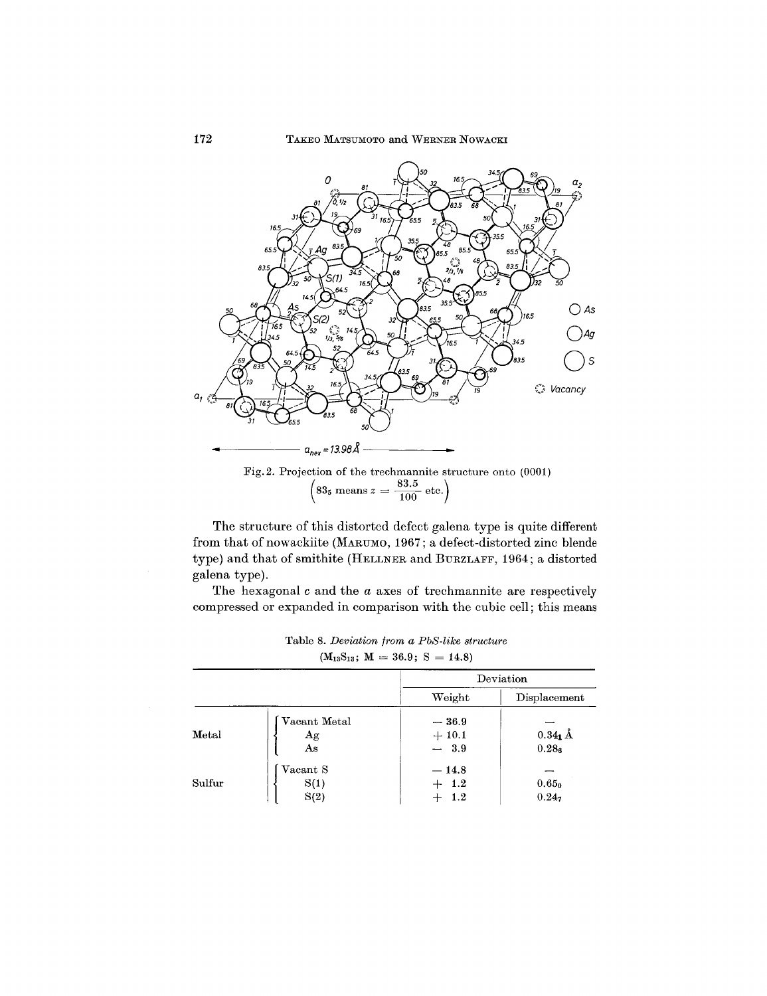

Fig. 2. Projection of the trechmannite structure onto (0001)<br>  $\left(83_5 \text{ means } z = \frac{83.5}{100} \text{ etc.}\right)$ 

The structure of this distorted defect galena type is quite different from that of nowackiite (MARUMO, 1967; a defect-distorted zinc blende type) and that of smithite (HELLNER and BURZLAFF, 1964; a distorted galena type).

The hexagonal  $c$  and the  $a$  axes of trechmannite are respectively compressed or expanded in comparison with the cubic cell; this means

|        |                          | $(M_{13}S_{13}; M = 36.9; S = 14.8)$ |                                 |  |  |
|--------|--------------------------|--------------------------------------|---------------------------------|--|--|
|        |                          | Deviation                            |                                 |  |  |
|        |                          | Weight                               | Displacement                    |  |  |
| Metal  | Vacant Metal<br>Ag<br>As | $-36.9$<br>$+10.1$<br>$-3.9$         | $0.34_1$ Å<br>0.28 <sub>6</sub> |  |  |
| Sulfur | Vacant S<br>S(1)<br>S(2) | $-14.8$<br>$+$ 1.2<br>$1.2\,$        | 0.65 <sub>0</sub><br>$0.24_7$   |  |  |

Table 8. Deviation from a PbS-like structure

172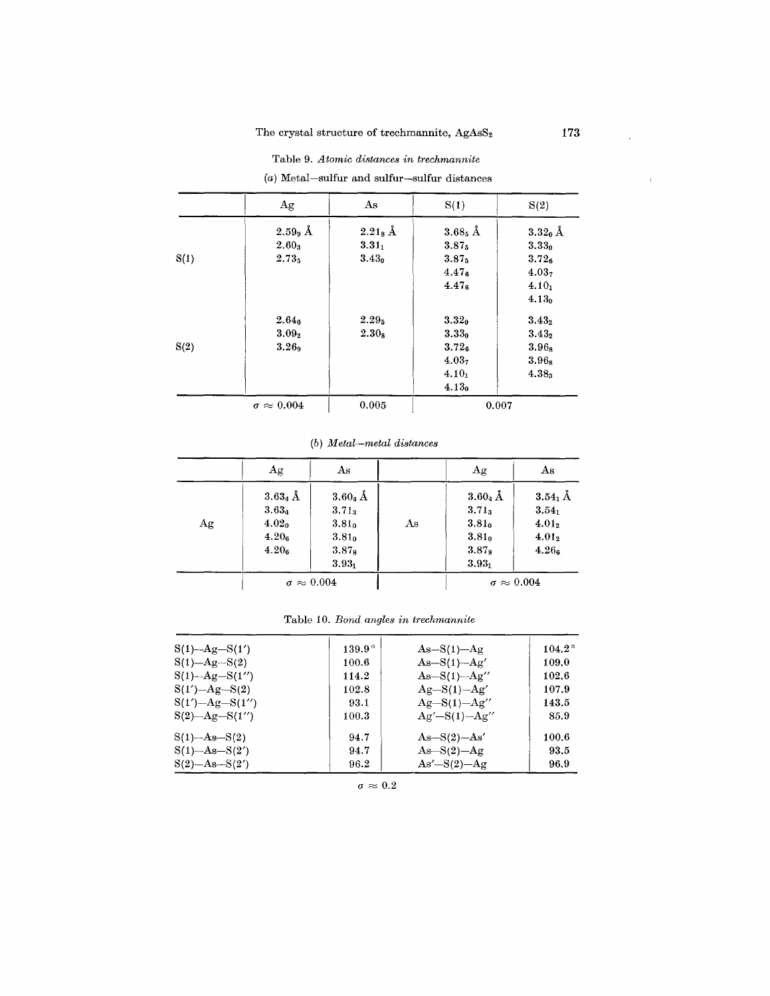# Table 9. Atomic distances in trechmannite

|      | Ag                     | As                | S(1)                  | S(2)              |
|------|------------------------|-------------------|-----------------------|-------------------|
|      | $2.599$ Å              | $2.21_8$ Å        | $3.68_5$ $\hbox{\AA}$ | $3.32_0$ Å        |
|      | 2.60 <sub>3</sub>      | $3.31_1$          | 3.875                 | 3.33 <sub>0</sub> |
| S(1) | 2.735                  | 3.43 <sub>0</sub> | $3.87_5$              | 3.72 <sub>6</sub> |
|      |                        |                   | 4.47 <sub>6</sub>     | 4.03 <sub>7</sub> |
|      |                        |                   | 4.47 <sub>6</sub>     | $4.10_1$          |
|      |                        |                   |                       | 4.13 <sub>0</sub> |
|      | $2.64_6$               | $2.29_5$          | 3.32 <sub>0</sub>     | $3.43_2$          |
|      | $3.09_{2}$             | 2.30 <sub>8</sub> | $3.33_0$              | $3.43_2$          |
| S(2) | 3.26 <sub>9</sub>      |                   | 3.72 <sub>6</sub>     | 3.96 <sub>8</sub> |
|      |                        |                   | 4.03 <sub>7</sub>     | $3.96_8$          |
|      |                        |                   | $4.10_1$              | $4.38_3$          |
|      |                        |                   | 4.13 <sub>0</sub>     |                   |
|      | $\sigma \approx 0.004$ | 0.005             | 0.007                 |                   |

 $(a)$  Metal-sulfur and sulfur-sulfur distances

 $(b)$  Metal-metal distances

|    | Ag                                                                                    | As                                                                                                |    | Ag                                                                                                | As                                                                  |
|----|---------------------------------------------------------------------------------------|---------------------------------------------------------------------------------------------------|----|---------------------------------------------------------------------------------------------------|---------------------------------------------------------------------|
| Ag | $3.63_4$ Å<br>$3.63_4$<br>4.02 <sub>0</sub><br>4.20 <sub>6</sub><br>4.20 <sub>6</sub> | $3.60_4$ Å<br>$3.71_3$<br>3.81 <sub>0</sub><br>3.81 <sub>0</sub><br>3.87 <sub>8</sub><br>$3.93_1$ | As | $3.60_4$ Å<br>$3.71_3$<br>3.81 <sub>0</sub><br>3.81 <sub>0</sub><br>3.87 <sub>8</sub><br>$3.93 -$ | $3.54_1$ Å<br>$3.54_1$<br>$4.01_2$<br>$4.01_2$<br>4.26 <sub>6</sub> |
|    | $\sigma \approx 0.004$                                                                |                                                                                                   |    | $\sigma \approx 0.004$                                                                            |                                                                     |

|  |  |  |  |  | Table 10. Bond angles in trechmannite |
|--|--|--|--|--|---------------------------------------|
|--|--|--|--|--|---------------------------------------|

| $S(1) - Ag - S(1')$   | $139.9^{\circ}$ | $As-S(1)-Ag$        | $104.2^\circ$ |
|-----------------------|-----------------|---------------------|---------------|
| $S(1) - Ag - S(2)$    | 100.6           | $As-S(1)-Ag'$       | 109.0         |
| $S(1)$ -Ag- $S(1'')$  | 114.2           | $As-S(1)-Ag''$      | 102.6         |
| $S(1') - Ag - S(2)$   | 102.8           | $Ag-S(1)-Ag'$       | 107.9         |
| $S(1') - Ag - S(1'')$ | 93.1            | $Ag-S(1)-Ag''$      | 143.5         |
| $S(2)$ -Ag-S(1'')     | 100.3           | $Ag' - S(1) - Ag''$ | 85.9          |
| $S(1)$ -As- $S(2)$    | 94.7            | $As-S(2)-As'$       | 100.6         |
| $S(1)$ -As- $S(2')$   | 94.7            | $As-S(2)-Ag$        | 93.5          |
| $S(2)$ -As- $S(2')$   | 96.2            | $As'-S(2)-Ag$       | 96.9          |

 $\sigma \approx 0.2$ 

 $\ddot{\phantom{a}}$ 

 $\bar{1}$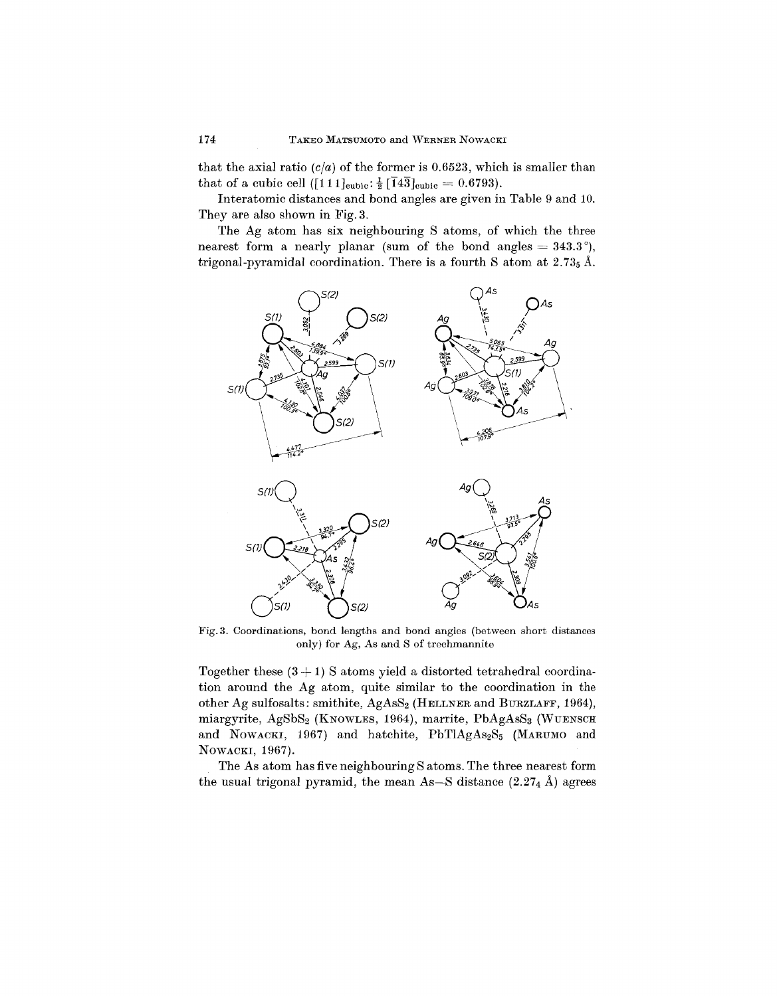that the axial ratio  $(c/a)$  of the former is 0.6523, which is smaller than that of a cubic cell ([111]<sub>cubic</sub>:  $\frac{1}{2}$  [143]<sub>cubic</sub> = 0.6793).

Interatomic distances and bond angles are given in Table 9 and 10. They are also shown in Fig. 3.

The Ag atom has six neighbouring S atoms, of which the three nearest form a nearly planar (sum of the bond angles  $= 343.3^{\circ}$ ), trigonal-pyramidal coordination. There is a fourth S atom at  $2.73<sub>5</sub>$  Å.



Fig.3. Coordinations, bond lengths and bond angles (between short distances only) for Ag, As and S of trechmannite

Together these  $(3 + 1)$  S atoms yield a distorted tetrahedral coordination around the Ag atom, quite similar to the coordination in the other Ag sulfosalts: smithite, AgAsS<sub>2</sub> (HELLNER and BURZLAFF, 1964), miargyrite, AgSbS<sub>2</sub> (KNOWLES, 1964), marrite, PbAgAsS<sub>3</sub> (WUENSCH and NOWACKI, 1967) and hatchite, PbTlAgAs<sub>2</sub>S<sub>5</sub> (MARUMO and NOWACKI, 1967).

The As atom has five neighbouring S atoms. The three nearest form the usual trigonal pyramid, the mean As-S distance  $(2.27<sub>4</sub>$  Å) agrees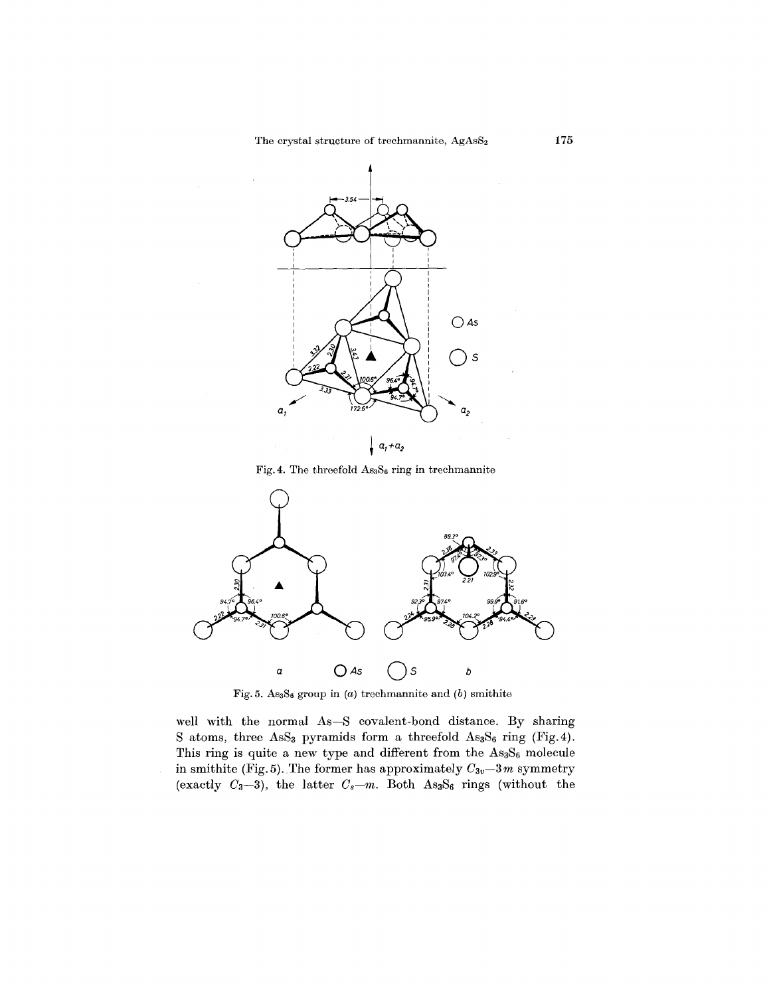

Fig. 4. The threefold  $\text{As}_3\text{S}_6$  ring in trechmannite



Fig. 5. AS3S6 group in *(a)* trechmannite and *(b)* smithite

well with the normal As-S covalent-bond distance. By sharing S atoms, three AsS<sub>3</sub> pyramids form a threefold As<sub>3</sub>S<sub>6</sub> ring (Fig. 4). This ring is quite a new type and different from the As3S<sub>6</sub> molecule in smithite (Fig. 5). The former has approximately  $C_{3v}-3m$  symmetry (exactly  $C_3-3$ ), the latter  $C_s-m$ . Both As<sub>3</sub>S<sub>6</sub> rings (without the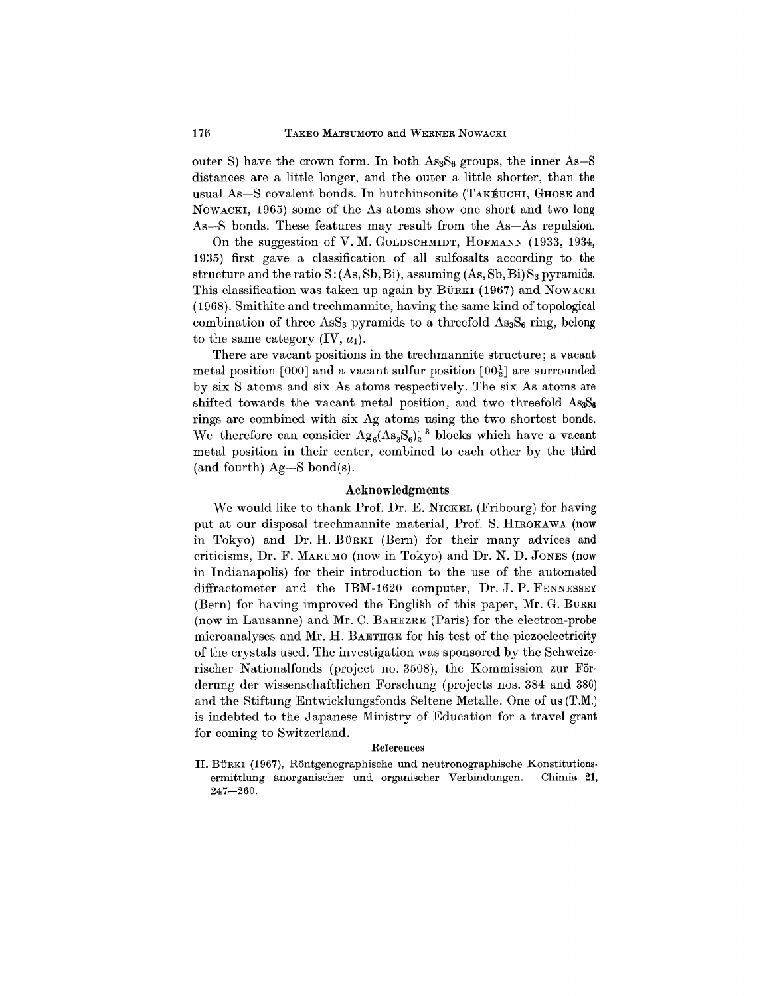outer S) have the crown form. In both  $\text{As}_3\text{S}_6$  groups, the inner As-S distances are a little longer, and the outer a little shorter, than the usual As-S covalent bonds. In hutchinsonite (TAKEUCHI, GHOSE and NOWACKI, 1965) some of the As atoms show one short and two long As-S bonds. These features may result from the As-As repulsion.

On the suggestion of V. M. GOLDSCHMIDT, HOFMANN (1933, 1934, 1935) first gave a classification of all sulfosalts according to the structure and the ratio  $S: (As, Sb, Bi)$ , assuming  $(As, Sb, Bi) S<sub>3</sub>$  pyramids. This classification was taken up again by BÜRKI (1967) and NOWACKI  $(1968)$ . Smithite and trechmannite, having the same kind of topological combination of three AsS<sub>3</sub> pyramids to a threefold  $\text{As}_3\text{S}_6$  ring, belong to the same category  $(IV, a_1)$ .

There are vacant positions in the trechmannite structure; a vacant metal position [000] and a vacant sulfur position  $[00\frac{1}{2}]$  are surrounded by six S atoms and six As atoms respectively. The six As atoms are shifted towards the vacant metal position, and two threefold  $\text{As}_3\text{S}_6$ rings are combined with six Ag atoms using the two shortest bonds. We therefore can consider  $Ag_6(As_3S_6)^{-3}$  blocks which have a vacant metal position in their center, combined to each other by the third (and fourth)  $Ag-S$  bond(s).

### Acknowledgments

We would like to thank Prof. Dr. E. NICKEL (Fribourg) for having put at our disposal trechmannite material, Prof. S. HIROKAWA (now in Tokyo) and Dr. H. BÜRKI (Bern) for their many advices and criticisms, Dr. F. MARUMO(now in Tokyo) and Dr. N. D. JONES (now in Indianapolis) for their introduction to the use of the automated diffractometer and the IBM-1620 computer, Dr. J. P. FENNESSEY (Bern) for having improved the English of this paper, Mr. G. BURRI (now in Lausanne) and Mr. C. BAHEZRE (Paris) for the electron-probe microanalyses and Mr. H. BAETHGE for his test of the piezoelectricity of the crystals used. The investigation was sponsored by the Schweizerischer Nationalfonds (project no. 3508), the Kommission zur Förderung der wissenschaftlichen Forschung (projects nos. 384 and 386) and the Stiftung Entwicklungsfonds Seltene Metalle. One of us (T.M.) is indebted to the Japanese Ministry of Education for a travel grant for coming to Switzerland.

#### References

H. BÜRKI (1967), Röntgenographische und neutronographische Konstitutionsermittlung anorganischer und organischer Verbindungen. Chimia 21, 247-260.